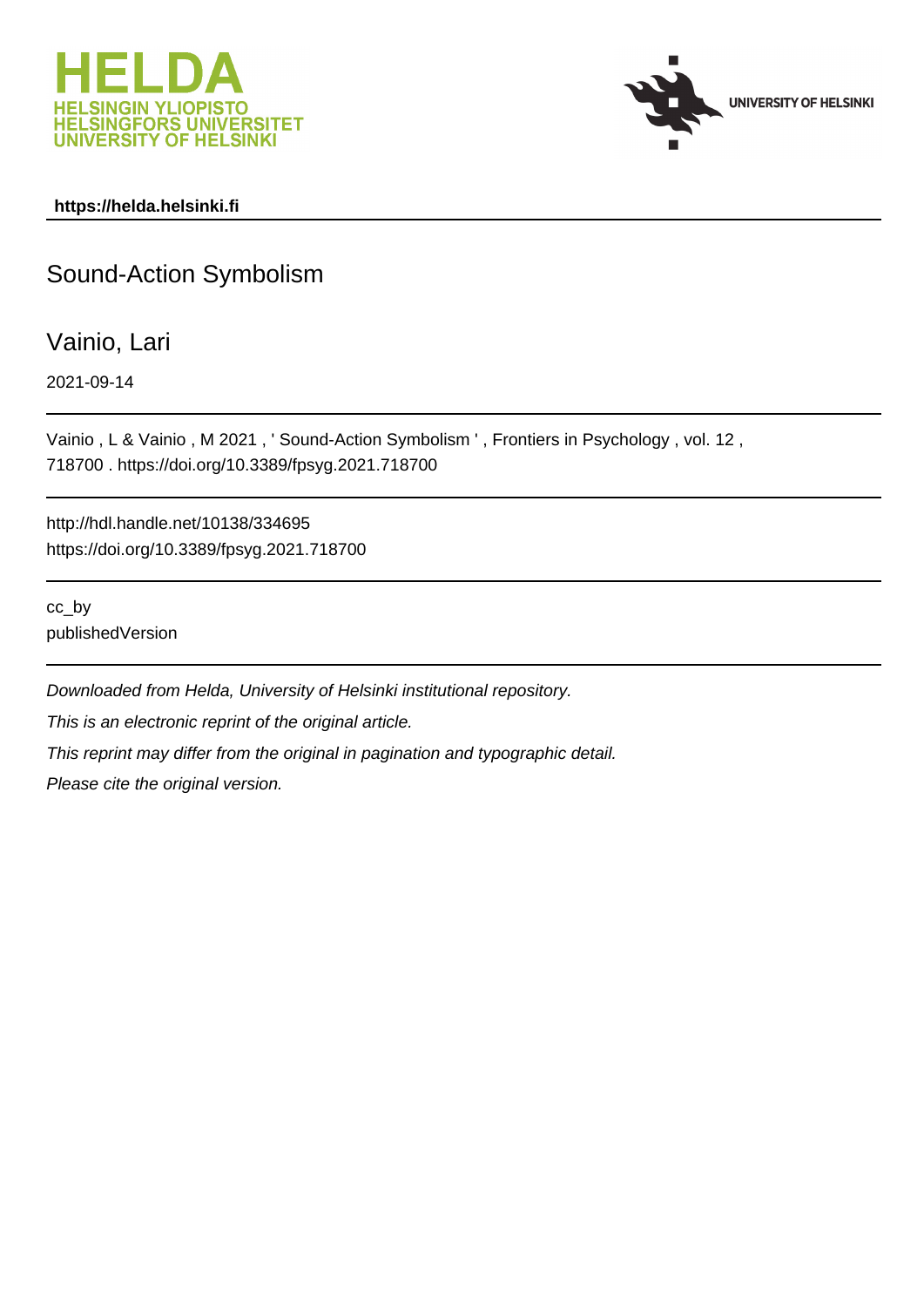



## **https://helda.helsinki.fi**

## Sound-Action Symbolism

Vainio, Lari

2021-09-14

Vainio , L & Vainio , M 2021 , ' Sound-Action Symbolism ' , Frontiers in Psychology , vol. 12 , 718700 . https://doi.org/10.3389/fpsyg.2021.718700

http://hdl.handle.net/10138/334695 https://doi.org/10.3389/fpsyg.2021.718700

cc\_by publishedVersion

Downloaded from Helda, University of Helsinki institutional repository. This is an electronic reprint of the original article. This reprint may differ from the original in pagination and typographic detail. Please cite the original version.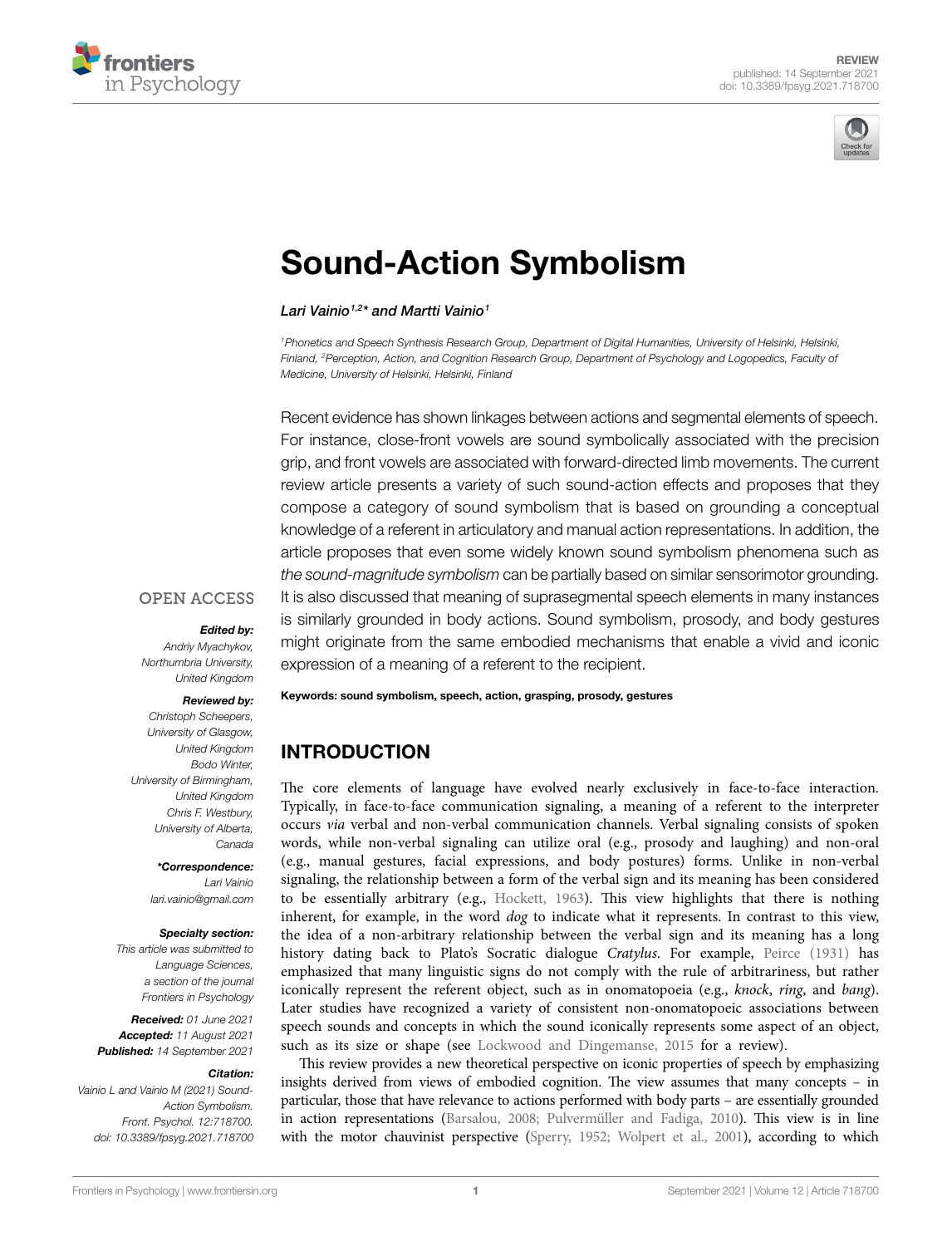



# [Sound-Action Symbolism](https://www.frontiersin.org/articles/10.3389/fpsyg.2021.718700/full)

#### *Lari Vainio1,2\* and Martti Vainio1*

<sup>1</sup> Phonetics and Speech Synthesis Research Group, Department of Digital Humanities, University of Helsinki, Helsinki, *Finland, 2Perception, Action, and Cognition Research Group, Department of Psychology and Logopedics, Faculty of Medicine, University of Helsinki, Helsinki, Finland*

Recent evidence has shown linkages between actions and segmental elements of speech. For instance, close-front vowels are sound symbolically associated with the precision grip, and front vowels are associated with forward-directed limb movements. The current review article presents a variety of such sound-action effects and proposes that they compose a category of sound symbolism that is based on grounding a conceptual knowledge of a referent in articulatory and manual action representations. In addition, the article proposes that even some widely known sound symbolism phenomena such as *the sound-magnitude symbolism* can be partially based on similar sensorimotor grounding. It is also discussed that meaning of suprasegmental speech elements in many instances is similarly grounded in body actions. Sound symbolism, prosody, and body gestures might originate from the same embodied mechanisms that enable a vivid and iconic expression of a meaning of a referent to the recipient.

#### **OPEN ACCESS**

#### *Edited by:*

*Andriy Myachykov, Northumbria University, United Kingdom*

#### *Reviewed by:*

*Christoph Scheepers, University of Glasgow, United Kingdom Bodo Winter, University of Birmingham, United Kingdom Chris F. Westbury, University of Alberta, Canada*

#### *\*Correspondence: Lari Vainio*

*[lari.vainio@gmail.com](mailto:lari.vainio@gmail.com)*

#### *Specialty section:*

*This article was submitted to Language Sciences, a section of the journal Frontiers in Psychology*

*Received: 01 June 2021 Accepted: 11 August 2021 Published: 14 September 2021*

#### *Citation:*

*Vainio L and Vainio M (2021) Sound-Action Symbolism. Front. Psychol. 12:718700. [doi: 10.3389/fpsyg.2021.718700](https://doi.org/10.3389/fpsyg.2021.718700)* Keywords: sound symbolism, speech, action, grasping, prosody, gestures

## INTRODUCTION

The core elements of language have evolved nearly exclusively in face-to-face interaction. Typically, in face-to-face communication signaling, a meaning of a referent to the interpreter occurs *via* verbal and non-verbal communication channels. Verbal signaling consists of spoken words, while non-verbal signaling can utilize oral (e.g., prosody and laughing) and non-oral (e.g., manual gestures, facial expressions, and body postures) forms. Unlike in non-verbal signaling, the relationship between a form of the verbal sign and its meaning has been considered to be essentially arbitrary (e.g., Hockett, 1963). This view highlights that there is nothing inherent, for example, in the word *dog* to indicate what it represents. In contrast to this view, the idea of a non-arbitrary relationship between the verbal sign and its meaning has a long history dating back to Plato's Socratic dialogue *Cratylus*. For example, Peirce (1931) has emphasized that many linguistic signs do not comply with the rule of arbitrariness, but rather iconically represent the referent object, such as in onomatopoeia (e.g., *knock*, *ring*, and *bang*). Later studies have recognized a variety of consistent non-onomatopoeic associations between speech sounds and concepts in which the sound iconically represents some aspect of an object, such as its size or shape (see Lockwood and Dingemanse, 2015 for a review).

This review provides a new theoretical perspective on iconic properties of speech by emphasizing insights derived from views of embodied cognition. The view assumes that many concepts – in particular, those that have relevance to actions performed with body parts – are essentially grounded in action representations (Barsalou, 2008; Pulvermüller and Fadiga, 2010). This view is in line with the motor chauvinist perspective (Sperry, 1952; Wolpert et al., 2001), according to which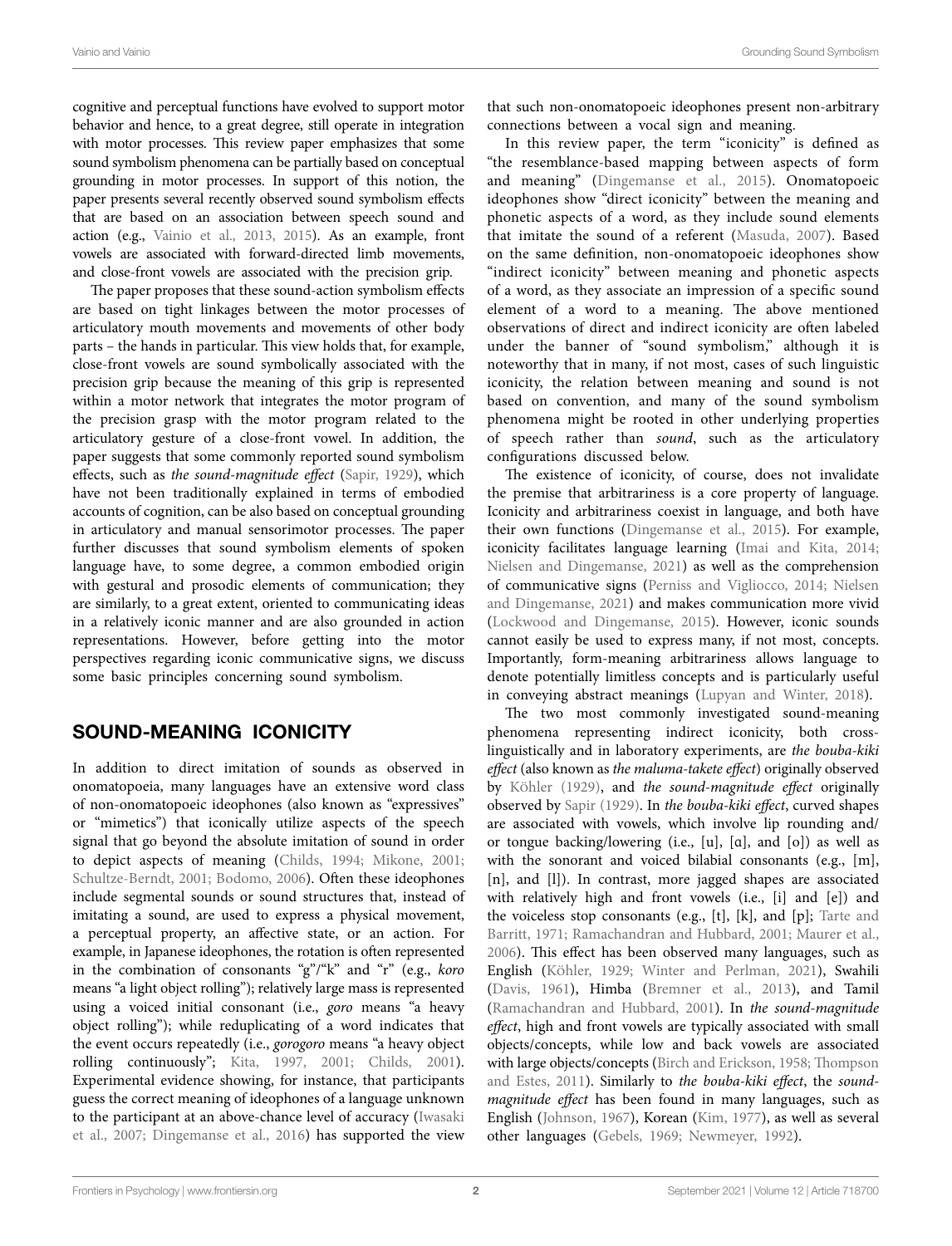cognitive and perceptual functions have evolved to support motor behavior and hence, to a great degree, still operate in integration with motor processes. This review paper emphasizes that some sound symbolism phenomena can be partially based on conceptual grounding in motor processes. In support of this notion, the paper presents several recently observed sound symbolism effects that are based on an association between speech sound and action (e.g., Vainio et al., 2013, 2015). As an example, front vowels are associated with forward-directed limb movements, and close-front vowels are associated with the precision grip.

The paper proposes that these sound-action symbolism effects are based on tight linkages between the motor processes of articulatory mouth movements and movements of other body parts – the hands in particular. This view holds that, for example, close-front vowels are sound symbolically associated with the precision grip because the meaning of this grip is represented within a motor network that integrates the motor program of the precision grasp with the motor program related to the articulatory gesture of a close-front vowel. In addition, the paper suggests that some commonly reported sound symbolism effects, such as *the sound-magnitude effect* (Sapir, 1929), which have not been traditionally explained in terms of embodied accounts of cognition, can be also based on conceptual grounding in articulatory and manual sensorimotor processes. The paper further discusses that sound symbolism elements of spoken language have, to some degree, a common embodied origin with gestural and prosodic elements of communication; they are similarly, to a great extent, oriented to communicating ideas in a relatively iconic manner and are also grounded in action representations. However, before getting into the motor perspectives regarding iconic communicative signs, we discuss some basic principles concerning sound symbolism.

## SOUND-MEANING ICONICITY

In addition to direct imitation of sounds as observed in onomatopoeia, many languages have an extensive word class of non-onomatopoeic ideophones (also known as "expressives" or "mimetics") that iconically utilize aspects of the speech signal that go beyond the absolute imitation of sound in order to depict aspects of meaning (Childs, 1994; Mikone, 2001; Schultze-Berndt, 2001; Bodomo, 2006). Often these ideophones include segmental sounds or sound structures that, instead of imitating a sound, are used to express a physical movement, a perceptual property, an affective state, or an action. For example, in Japanese ideophones, the rotation is often represented in the combination of consonants "g"/"k" and "r" (e.g., *koro* means "a light object rolling"); relatively large mass is represented using a voiced initial consonant (i.e., *goro* means "a heavy object rolling"); while reduplicating of a word indicates that the event occurs repeatedly (i.e., *gorogoro* means "a heavy object rolling continuously"; Kita, 1997, 2001; Childs, 2001). Experimental evidence showing, for instance, that participants guess the correct meaning of ideophones of a language unknown to the participant at an above-chance level of accuracy (Iwasaki et al., 2007; Dingemanse et al., 2016) has supported the view that such non-onomatopoeic ideophones present non-arbitrary connections between a vocal sign and meaning.

In this review paper, the term "iconicity" is defined as "the resemblance-based mapping between aspects of form and meaning" (Dingemanse et al., 2015). Onomatopoeic ideophones show "direct iconicity" between the meaning and phonetic aspects of a word, as they include sound elements that imitate the sound of a referent (Masuda, 2007). Based on the same definition, non-onomatopoeic ideophones show "indirect iconicity" between meaning and phonetic aspects of a word, as they associate an impression of a specific sound element of a word to a meaning. The above mentioned observations of direct and indirect iconicity are often labeled under the banner of "sound symbolism," although it is noteworthy that in many, if not most, cases of such linguistic iconicity, the relation between meaning and sound is not based on convention, and many of the sound symbolism phenomena might be rooted in other underlying properties of speech rather than *sound*, such as the articulatory configurations discussed below.

The existence of iconicity, of course, does not invalidate the premise that arbitrariness is a core property of language. Iconicity and arbitrariness coexist in language, and both have their own functions (Dingemanse et al., 2015). For example, iconicity facilitates language learning (Imai and Kita, 2014; Nielsen and Dingemanse, 2021) as well as the comprehension of communicative signs (Perniss and Vigliocco, 2014; Nielsen and Dingemanse, 2021) and makes communication more vivid (Lockwood and Dingemanse, 2015). However, iconic sounds cannot easily be used to express many, if not most, concepts. Importantly, form-meaning arbitrariness allows language to denote potentially limitless concepts and is particularly useful in conveying abstract meanings (Lupyan and Winter, 2018).

The two most commonly investigated sound-meaning phenomena representing indirect iconicity, both crosslinguistically and in laboratory experiments, are *the bouba-kiki effect* (also known as *the maluma-takete effect*) originally observed by KÖhler (1929), and *the sound-magnitude effect* originally observed by Sapir (1929). In *the bouba-kiki effect*, curved shapes are associated with vowels, which involve lip rounding and/ or tongue backing/lowering (i.e., [u], [ɑ], and [o]) as well as with the sonorant and voiced bilabial consonants (e.g., [m], [n], and [l]). In contrast, more jagged shapes are associated with relatively high and front vowels (i.e., [i] and [e]) and the voiceless stop consonants (e.g.,  $[t]$ ,  $[k]$ , and  $[p]$ ; Tarte and Barritt, 1971; Ramachandran and Hubbard, 2001; Maurer et al., 2006). This effect has been observed many languages, such as English (KÖhler, 1929; Winter and Perlman, 2021), Swahili (Davis, 1961), Himba (Bremner et al., 2013), and Tamil (Ramachandran and Hubbard, 2001). In *the sound-magnitude effect*, high and front vowels are typically associated with small objects/concepts, while low and back vowels are associated with large objects/concepts (Birch and Erickson, 1958; Thompson and Estes, 2011). Similarly to *the bouba-kiki effect*, the *soundmagnitude effect* has been found in many languages, such as English (Johnson, 1967), Korean (Kim, 1977), as well as several other languages (Gebels, 1969; Newmeyer, 1992).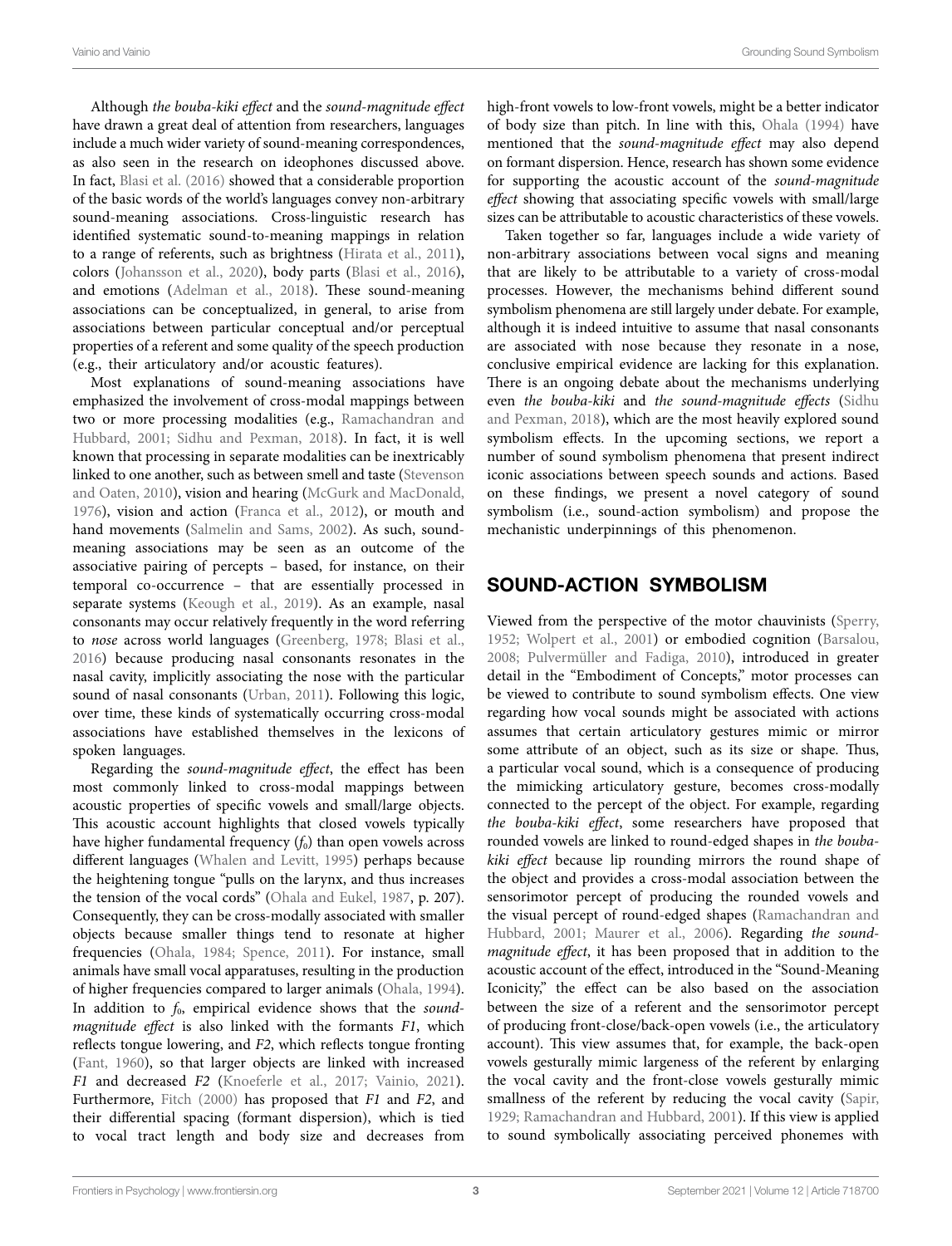Although *the bouba-kiki effect* and the *sound-magnitude effect* have drawn a great deal of attention from researchers, languages include a much wider variety of sound-meaning correspondences, as also seen in the research on ideophones discussed above. In fact, Blasi et al. (2016) showed that a considerable proportion of the basic words of the world's languages convey non-arbitrary sound-meaning associations. Cross-linguistic research has identified systematic sound-to-meaning mappings in relation to a range of referents, such as brightness (Hirata et al., 2011), colors (Johansson et al., 2020), body parts (Blasi et al., 2016), and emotions (Adelman et al., 2018). These sound-meaning associations can be conceptualized, in general, to arise from associations between particular conceptual and/or perceptual properties of a referent and some quality of the speech production (e.g., their articulatory and/or acoustic features).

Most explanations of sound-meaning associations have emphasized the involvement of cross-modal mappings between two or more processing modalities (e.g., Ramachandran and Hubbard, 2001; Sidhu and Pexman, 2018). In fact, it is well known that processing in separate modalities can be inextricably linked to one another, such as between smell and taste (Stevenson and Oaten, 2010), vision and hearing (McGurk and MacDonald, 1976), vision and action (Franca et al., 2012), or mouth and hand movements (Salmelin and Sams, 2002). As such, soundmeaning associations may be seen as an outcome of the associative pairing of percepts – based, for instance, on their temporal co-occurrence – that are essentially processed in separate systems (Keough et al., 2019). As an example, nasal consonants may occur relatively frequently in the word referring to *nose* across world languages (Greenberg, 1978; Blasi et al., 2016) because producing nasal consonants resonates in the nasal cavity, implicitly associating the nose with the particular sound of nasal consonants (Urban, 2011). Following this logic, over time, these kinds of systematically occurring cross-modal associations have established themselves in the lexicons of spoken languages.

Regarding the *sound-magnitude effect*, the effect has been most commonly linked to cross-modal mappings between acoustic properties of specific vowels and small/large objects. This acoustic account highlights that closed vowels typically have higher fundamental frequency  $(f_0)$  than open vowels across different languages (Whalen and Levitt, 1995) perhaps because the heightening tongue "pulls on the larynx, and thus increases the tension of the vocal cords" (Ohala and Eukel, 1987, p. 207). Consequently, they can be cross-modally associated with smaller objects because smaller things tend to resonate at higher frequencies (Ohala, 1984; Spence, 2011). For instance, small animals have small vocal apparatuses, resulting in the production of higher frequencies compared to larger animals (Ohala, 1994). In addition to  $f_0$ , empirical evidence shows that the *soundmagnitude effect* is also linked with the formants *F1*, which reflects tongue lowering, and *F2*, which reflects tongue fronting (Fant, 1960), so that larger objects are linked with increased *F1* and decreased *F2* (Knoeferle et al., 2017; Vainio, 2021). Furthermore, Fitch (2000) has proposed that *F1* and *F2*, and their differential spacing (formant dispersion), which is tied to vocal tract length and body size and decreases from high-front vowels to low-front vowels, might be a better indicator of body size than pitch. In line with this, Ohala (1994) have mentioned that the *sound-magnitude effect* may also depend on formant dispersion. Hence, research has shown some evidence for supporting the acoustic account of the *sound-magnitude effect* showing that associating specific vowels with small/large sizes can be attributable to acoustic characteristics of these vowels.

Taken together so far, languages include a wide variety of non-arbitrary associations between vocal signs and meaning that are likely to be attributable to a variety of cross-modal processes. However, the mechanisms behind different sound symbolism phenomena are still largely under debate. For example, although it is indeed intuitive to assume that nasal consonants are associated with nose because they resonate in a nose, conclusive empirical evidence are lacking for this explanation. There is an ongoing debate about the mechanisms underlying even *the bouba-kiki* and *the sound-magnitude effects* (Sidhu and Pexman, 2018), which are the most heavily explored sound symbolism effects. In the upcoming sections, we report a number of sound symbolism phenomena that present indirect iconic associations between speech sounds and actions. Based on these findings, we present a novel category of sound symbolism (i.e., sound-action symbolism) and propose the mechanistic underpinnings of this phenomenon.

## SOUND-ACTION SYMBOLISM

Viewed from the perspective of the motor chauvinists (Sperry, 1952; Wolpert et al., 2001) or embodied cognition (Barsalou, 2008; Pulvermüller and Fadiga, 2010), introduced in greater detail in the "Embodiment of Concepts," motor processes can be viewed to contribute to sound symbolism effects. One view regarding how vocal sounds might be associated with actions assumes that certain articulatory gestures mimic or mirror some attribute of an object, such as its size or shape. Thus, a particular vocal sound, which is a consequence of producing the mimicking articulatory gesture, becomes cross-modally connected to the percept of the object. For example, regarding *the bouba-kiki effect*, some researchers have proposed that rounded vowels are linked to round-edged shapes in *the boubakiki effect* because lip rounding mirrors the round shape of the object and provides a cross-modal association between the sensorimotor percept of producing the rounded vowels and the visual percept of round-edged shapes (Ramachandran and Hubbard, 2001; Maurer et al., 2006). Regarding *the soundmagnitude effect*, it has been proposed that in addition to the acoustic account of the effect, introduced in the "Sound-Meaning Iconicity," the effect can be also based on the association between the size of a referent and the sensorimotor percept of producing front-close/back-open vowels (i.e., the articulatory account). This view assumes that, for example, the back-open vowels gesturally mimic largeness of the referent by enlarging the vocal cavity and the front-close vowels gesturally mimic smallness of the referent by reducing the vocal cavity (Sapir, 1929; Ramachandran and Hubbard, 2001). If this view is applied to sound symbolically associating perceived phonemes with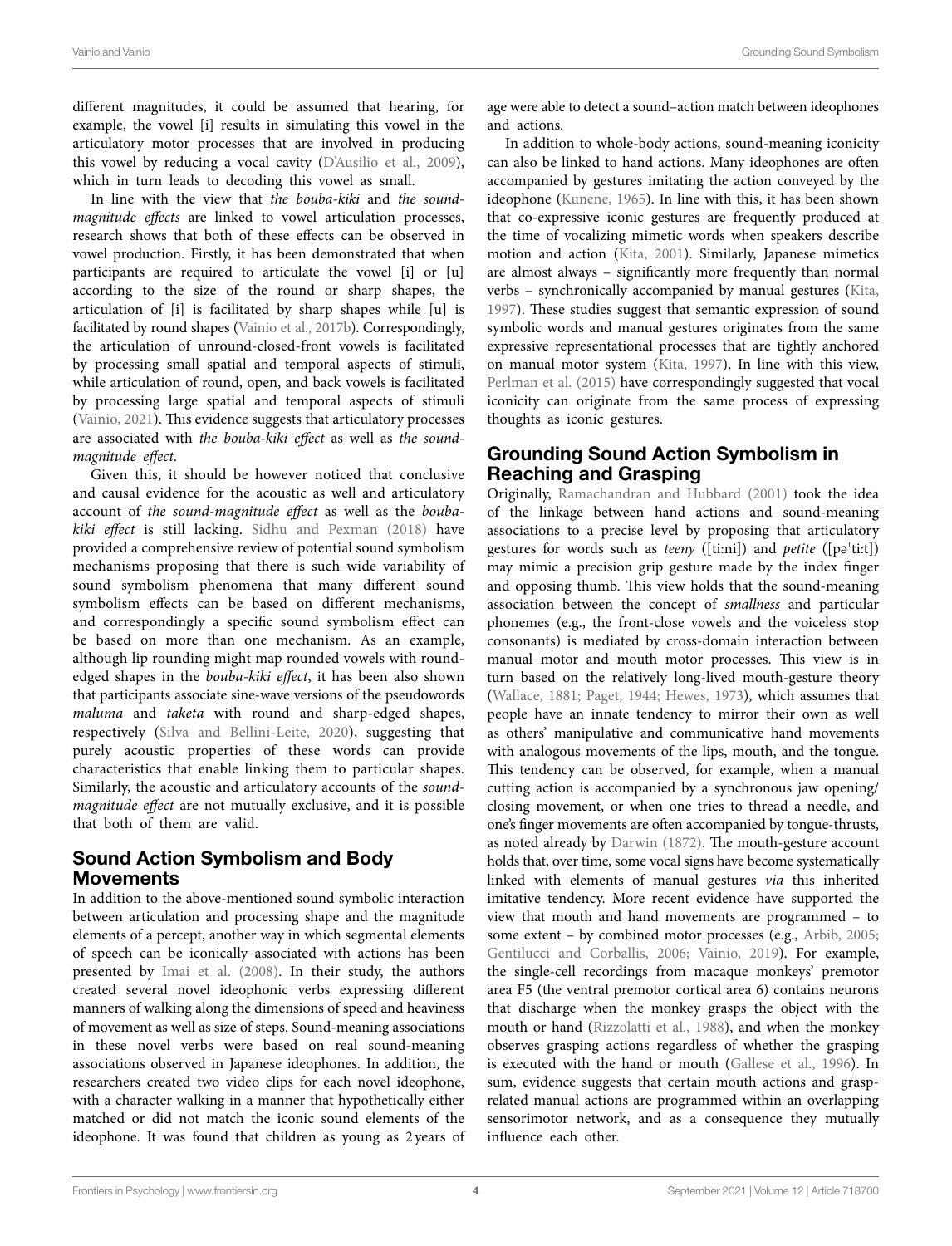different magnitudes, it could be assumed that hearing, for example, the vowel [i] results in simulating this vowel in the articulatory motor processes that are involved in producing this vowel by reducing a vocal cavity (D'Ausilio et al., 2009), which in turn leads to decoding this vowel as small.

In line with the view that *the bouba-kiki* and *the soundmagnitude effects* are linked to vowel articulation processes, research shows that both of these effects can be observed in vowel production. Firstly, it has been demonstrated that when participants are required to articulate the vowel [i] or [u] according to the size of the round or sharp shapes, the articulation of [i] is facilitated by sharp shapes while [u] is facilitated by round shapes (Vainio et al., 2017b). Correspondingly, the articulation of unround-closed-front vowels is facilitated by processing small spatial and temporal aspects of stimuli, while articulation of round, open, and back vowels is facilitated by processing large spatial and temporal aspects of stimuli (Vainio, 2021). This evidence suggests that articulatory processes are associated with *the bouba-kiki effect* as well as *the soundmagnitude effect*.

Given this, it should be however noticed that conclusive and causal evidence for the acoustic as well and articulatory account of *the sound-magnitude effect* as well as the *boubakiki effect* is still lacking. Sidhu and Pexman (2018) have provided a comprehensive review of potential sound symbolism mechanisms proposing that there is such wide variability of sound symbolism phenomena that many different sound symbolism effects can be based on different mechanisms, and correspondingly a specific sound symbolism effect can be based on more than one mechanism. As an example, although lip rounding might map rounded vowels with roundedged shapes in the *bouba-kiki effect*, it has been also shown that participants associate sine-wave versions of the pseudowords *maluma* and *taketa* with round and sharp-edged shapes, respectively (Silva and Bellini-Leite, 2020), suggesting that purely acoustic properties of these words can provide characteristics that enable linking them to particular shapes. Similarly, the acoustic and articulatory accounts of the *soundmagnitude effect* are not mutually exclusive, and it is possible that both of them are valid.

#### Sound Action Symbolism and Body Movements

In addition to the above-mentioned sound symbolic interaction between articulation and processing shape and the magnitude elements of a percept, another way in which segmental elements of speech can be iconically associated with actions has been presented by Imai et al. (2008). In their study, the authors created several novel ideophonic verbs expressing different manners of walking along the dimensions of speed and heaviness of movement as well as size of steps. Sound-meaning associations in these novel verbs were based on real sound-meaning associations observed in Japanese ideophones. In addition, the researchers created two video clips for each novel ideophone, with a character walking in a manner that hypothetically either matched or did not match the iconic sound elements of the ideophone. It was found that children as young as 2 years of age were able to detect a sound–action match between ideophones and actions.

In addition to whole-body actions, sound-meaning iconicity can also be linked to hand actions. Many ideophones are often accompanied by gestures imitating the action conveyed by the ideophone (Kunene, 1965). In line with this, it has been shown that co-expressive iconic gestures are frequently produced at the time of vocalizing mimetic words when speakers describe motion and action (Kita, 2001). Similarly, Japanese mimetics are almost always – significantly more frequently than normal verbs – synchronically accompanied by manual gestures (Kita, 1997). These studies suggest that semantic expression of sound symbolic words and manual gestures originates from the same expressive representational processes that are tightly anchored on manual motor system (Kita, 1997). In line with this view, Perlman et al. (2015) have correspondingly suggested that vocal iconicity can originate from the same process of expressing thoughts as iconic gestures.

## Grounding Sound Action Symbolism in Reaching and Grasping

Originally, Ramachandran and Hubbard (2001) took the idea of the linkage between hand actions and sound-meaning associations to a precise level by proposing that articulatory gestures for words such as *teeny* ([ti:ni]) and *petite* ([pəˈti:t]) may mimic a precision grip gesture made by the index finger and opposing thumb. This view holds that the sound-meaning association between the concept of *smallness* and particular phonemes (e.g., the front-close vowels and the voiceless stop consonants) is mediated by cross-domain interaction between manual motor and mouth motor processes. This view is in turn based on the relatively long-lived mouth-gesture theory (Wallace, 1881; Paget, 1944; Hewes, 1973), which assumes that people have an innate tendency to mirror their own as well as others' manipulative and communicative hand movements with analogous movements of the lips, mouth, and the tongue. This tendency can be observed, for example, when a manual cutting action is accompanied by a synchronous jaw opening/ closing movement, or when one tries to thread a needle, and one's finger movements are often accompanied by tongue-thrusts, as noted already by Darwin (1872). The mouth-gesture account holds that, over time, some vocal signs have become systematically linked with elements of manual gestures *via* this inherited imitative tendency. More recent evidence have supported the view that mouth and hand movements are programmed – to some extent – by combined motor processes (e.g., Arbib, 2005; Gentilucci and Corballis, 2006; Vainio, 2019). For example, the single-cell recordings from macaque monkeys' premotor area F5 (the ventral premotor cortical area 6) contains neurons that discharge when the monkey grasps the object with the mouth or hand (Rizzolatti et al., 1988), and when the monkey observes grasping actions regardless of whether the grasping is executed with the hand or mouth (Gallese et al., 1996). In sum, evidence suggests that certain mouth actions and grasprelated manual actions are programmed within an overlapping sensorimotor network, and as a consequence they mutually influence each other.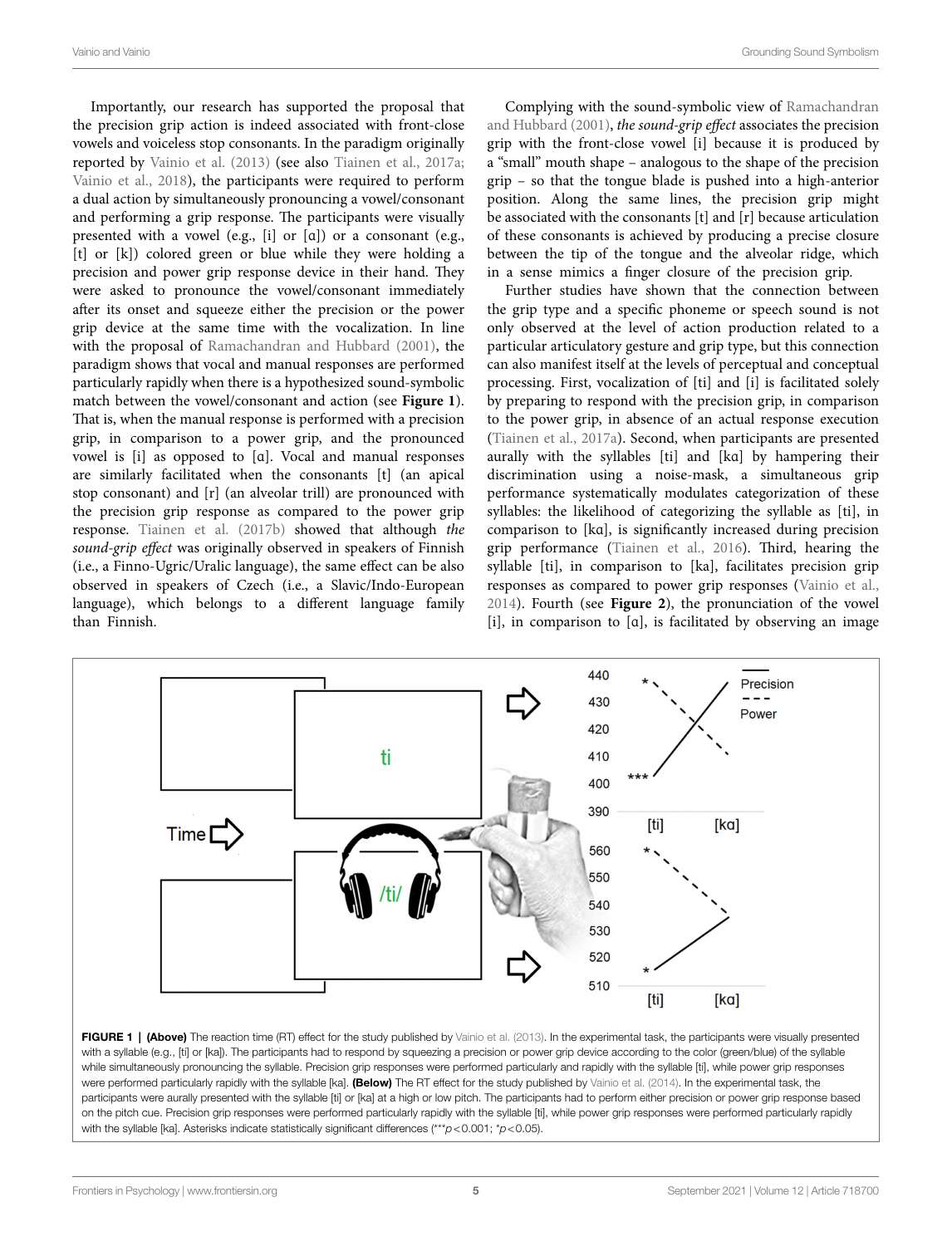Importantly, our research has supported the proposal that the precision grip action is indeed associated with front-close vowels and voiceless stop consonants. In the paradigm originally reported by Vainio et al. (2013) (see also Tiainen et al., 2017a; Vainio et al., 2018), the participants were required to perform a dual action by simultaneously pronouncing a vowel/consonant and performing a grip response. The participants were visually presented with a vowel (e.g., [i] or [ɑ]) or a consonant (e.g., [t] or [k]) colored green or blue while they were holding a precision and power grip response device in their hand. They were asked to pronounce the vowel/consonant immediately after its onset and squeeze either the precision or the power grip device at the same time with the vocalization. In line with the proposal of Ramachandran and Hubbard (2001), the paradigm shows that vocal and manual responses are performed particularly rapidly when there is a hypothesized sound-symbolic match between the vowel/consonant and action (see **Figure 1**). That is, when the manual response is performed with a precision grip, in comparison to a power grip, and the pronounced vowel is [i] as opposed to [ɑ]. Vocal and manual responses are similarly facilitated when the consonants [t] (an apical stop consonant) and [r] (an alveolar trill) are pronounced with the precision grip response as compared to the power grip response. Tiainen et al. (2017b) showed that although *the sound-grip effect* was originally observed in speakers of Finnish (i.e., a Finno-Ugric/Uralic language), the same effect can be also observed in speakers of Czech (i.e., a Slavic/Indo-European language), which belongs to a different language family than Finnish.

Complying with the sound-symbolic view of Ramachandran and Hubbard (2001), *the sound-grip effect* associates the precision grip with the front-close vowel [i] because it is produced by a "small" mouth shape – analogous to the shape of the precision grip – so that the tongue blade is pushed into a high-anterior position. Along the same lines, the precision grip might be associated with the consonants [t] and [r] because articulation of these consonants is achieved by producing a precise closure between the tip of the tongue and the alveolar ridge, which in a sense mimics a finger closure of the precision grip.

Further studies have shown that the connection between the grip type and a specific phoneme or speech sound is not only observed at the level of action production related to a particular articulatory gesture and grip type, but this connection can also manifest itself at the levels of perceptual and conceptual processing. First, vocalization of [ti] and [i] is facilitated solely by preparing to respond with the precision grip, in comparison to the power grip, in absence of an actual response execution (Tiainen et al., 2017a). Second, when participants are presented aurally with the syllables [ti] and [kɑ] by hampering their discrimination using a noise-mask, a simultaneous grip performance systematically modulates categorization of these syllables: the likelihood of categorizing the syllable as [ti], in comparison to [kɑ], is significantly increased during precision grip performance (Tiainen et al., 2016). Third, hearing the syllable [ti], in comparison to [ka], facilitates precision grip responses as compared to power grip responses (Vainio et al., 2014). Fourth (see **Figure 2**), the pronunciation of the vowel [i], in comparison to [ɑ], is facilitated by observing an image



FIGURE 1 | (Above) The reaction time (RT) effect for the study published by Vainio et al. (2013). In the experimental task, the participants were visually presented with a syllable (e.g., [ti] or [ka]). The participants had to respond by squeezing a precision or power grip device according to the color (green/blue) of the syllable while simultaneously pronouncing the syllable. Precision grip responses were performed particularly and rapidly with the syllable [ti], while power grip responses were performed particularly rapidly with the syllable [ka]. (Below) The RT effect for the study published by Vainio et al. (2014). In the experimental task, the participants were aurally presented with the syllable [ti] or [ka] at a high or low pitch. The participants had to perform either precision or power grip response based on the pitch cue. Precision grip responses were performed particularly rapidly with the syllable [ti], while power grip responses were performed particularly rapidly with the syllable [ka]. Asterisks indicate statistically significant differences (\*\*\**p*<0.001; \**p*<0.05).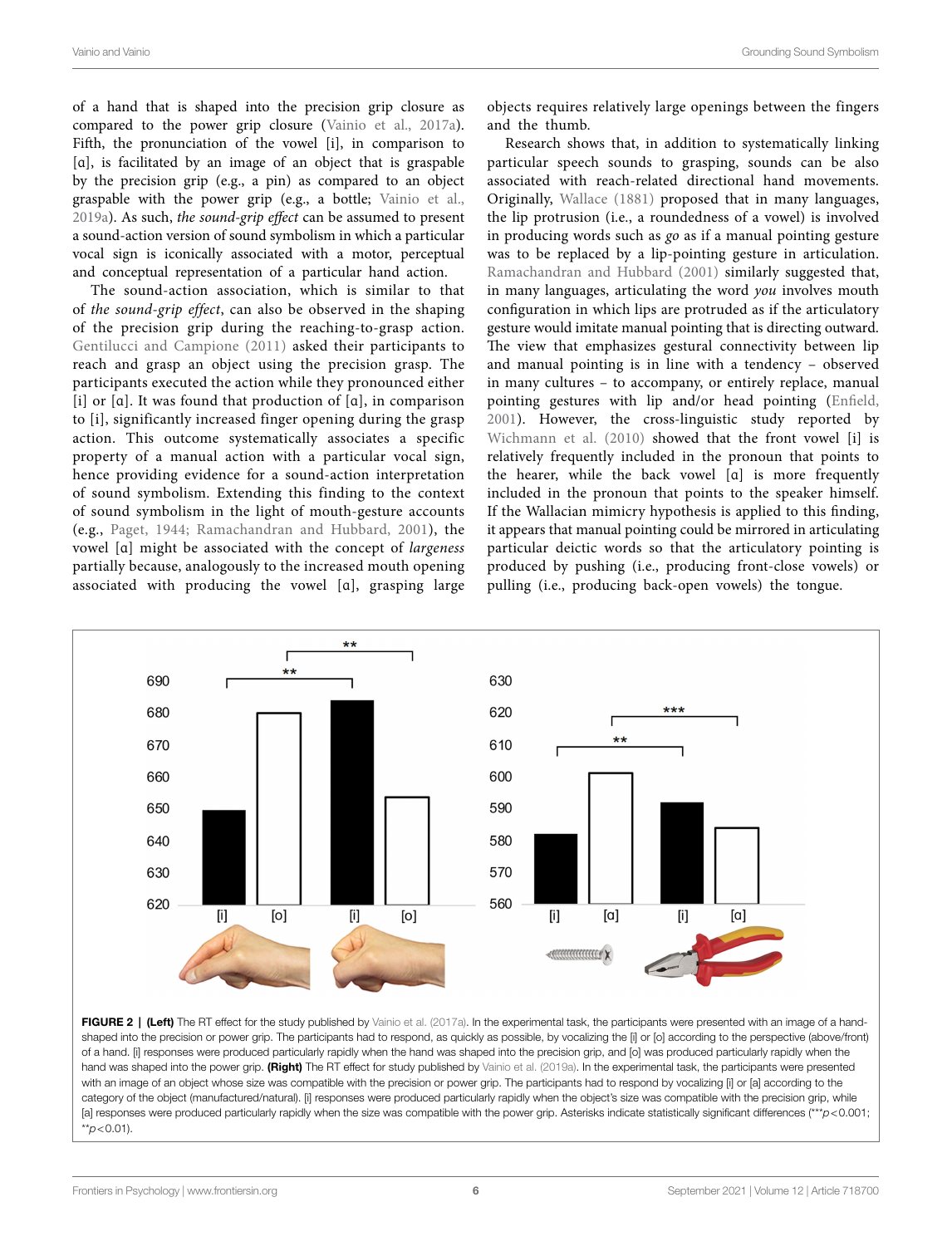of a hand that is shaped into the precision grip closure as compared to the power grip closure (Vainio et al., 2017a). Fifth, the pronunciation of the vowel [i], in comparison to [a], is facilitated by an image of an object that is graspable by the precision grip (e.g., a pin) as compared to an object graspable with the power grip (e.g., a bottle; Vainio et al., 2019a). As such, *the sound-grip effect* can be assumed to present a sound-action version of sound symbolism in which a particular vocal sign is iconically associated with a motor, perceptual and conceptual representation of a particular hand action.

The sound-action association, which is similar to that of *the sound-grip effect*, can also be observed in the shaping of the precision grip during the reaching-to-grasp action. Gentilucci and Campione (2011) asked their participants to reach and grasp an object using the precision grasp. The participants executed the action while they pronounced either [i] or [ɑ]. It was found that production of [ɑ], in comparison to [i], significantly increased finger opening during the grasp action. This outcome systematically associates a specific property of a manual action with a particular vocal sign, hence providing evidence for a sound-action interpretation of sound symbolism. Extending this finding to the context of sound symbolism in the light of mouth-gesture accounts (e.g., Paget, 1944; Ramachandran and Hubbard, 2001), the vowel [ɑ] might be associated with the concept of *largeness* partially because, analogously to the increased mouth opening associated with producing the vowel [ɑ], grasping large objects requires relatively large openings between the fingers and the thumb.

Research shows that, in addition to systematically linking particular speech sounds to grasping, sounds can be also associated with reach-related directional hand movements. Originally, Wallace (1881) proposed that in many languages, the lip protrusion (i.e., a roundedness of a vowel) is involved in producing words such as *go* as if a manual pointing gesture was to be replaced by a lip-pointing gesture in articulation. Ramachandran and Hubbard (2001) similarly suggested that, in many languages, articulating the word *you* involves mouth configuration in which lips are protruded as if the articulatory gesture would imitate manual pointing that is directing outward. The view that emphasizes gestural connectivity between lip and manual pointing is in line with a tendency – observed in many cultures – to accompany, or entirely replace, manual pointing gestures with lip and/or head pointing (Enfield, 2001). However, the cross-linguistic study reported by Wichmann et al. (2010) showed that the front vowel [i] is relatively frequently included in the pronoun that points to the hearer, while the back vowel [ɑ] is more frequently included in the pronoun that points to the speaker himself. If the Wallacian mimicry hypothesis is applied to this finding, it appears that manual pointing could be mirrored in articulating particular deictic words so that the articulatory pointing is produced by pushing (i.e., producing front-close vowels) or pulling (i.e., producing back-open vowels) the tongue.



FIGURE 2 | (Left) The RT effect for the study published by Vainio et al. (2017a). In the experimental task, the participants were presented with an image of a handshaped into the precision or power grip. The participants had to respond, as quickly as possible, by vocalizing the [i] or [o] according to the perspective (above/front) of a hand. [i] responses were produced particularly rapidly when the hand was shaped into the precision grip, and [o] was produced particularly rapidly when the hand was shaped into the power grip. (Right) The RT effect for study published by Vainio et al. (2019a). In the experimental task, the participants were presented with an image of an object whose size was compatible with the precision or power grip. The participants had to respond by vocalizing [i] or [a] according to the category of the object (manufactured/natural). [i] responses were produced particularly rapidly when the object's size was compatible with the precision grip, while [a] responses were produced particularly rapidly when the size was compatible with the power grip. Asterisks indicate statistically significant differences (\*\*\**p*<0.001; \*\**p*<0.01).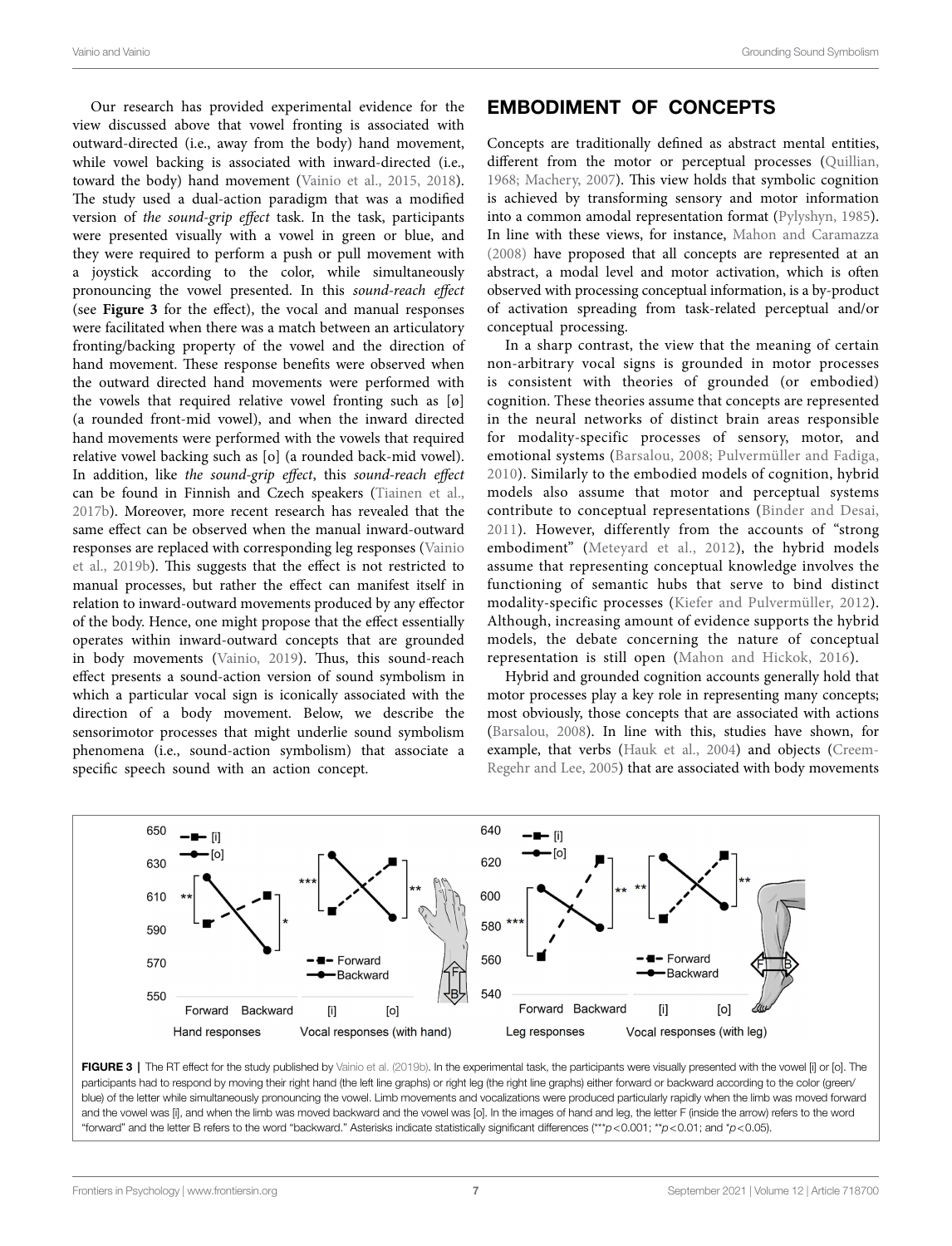Our research has provided experimental evidence for the view discussed above that vowel fronting is associated with outward-directed (i.e., away from the body) hand movement, while vowel backing is associated with inward-directed (i.e., toward the body) hand movement (Vainio et al., 2015, 2018). The study used a dual-action paradigm that was a modified version of *the sound-grip effect* task. In the task, participants were presented visually with a vowel in green or blue, and they were required to perform a push or pull movement with a joystick according to the color, while simultaneously pronouncing the vowel presented. In this *sound-reach effect* (see **Figure 3** for the effect), the vocal and manual responses were facilitated when there was a match between an articulatory fronting/backing property of the vowel and the direction of hand movement. These response benefits were observed when the outward directed hand movements were performed with the vowels that required relative vowel fronting such as [ø] (a rounded front-mid vowel), and when the inward directed hand movements were performed with the vowels that required relative vowel backing such as [o] (a rounded back-mid vowel). In addition, like *the sound-grip effect*, this *sound-reach effect* can be found in Finnish and Czech speakers (Tiainen et al., 2017b). Moreover, more recent research has revealed that the same effect can be observed when the manual inward-outward responses are replaced with corresponding leg responses (Vainio et al., 2019b). This suggests that the effect is not restricted to manual processes, but rather the effect can manifest itself in relation to inward-outward movements produced by any effector of the body. Hence, one might propose that the effect essentially operates within inward-outward concepts that are grounded in body movements (Vainio, 2019). Thus, this sound-reach effect presents a sound-action version of sound symbolism in which a particular vocal sign is iconically associated with the direction of a body movement. Below, we describe the sensorimotor processes that might underlie sound symbolism phenomena (i.e., sound-action symbolism) that associate a specific speech sound with an action concept.

#### EMBODIMENT OF CONCEPTS

Concepts are traditionally defined as abstract mental entities, different from the motor or perceptual processes (Quillian, 1968; Machery, 2007). This view holds that symbolic cognition is achieved by transforming sensory and motor information into a common amodal representation format (Pylyshyn, 1985). In line with these views, for instance, Mahon and Caramazza (2008) have proposed that all concepts are represented at an abstract, a modal level and motor activation, which is often observed with processing conceptual information, is a by-product of activation spreading from task-related perceptual and/or conceptual processing.

In a sharp contrast, the view that the meaning of certain non-arbitrary vocal signs is grounded in motor processes is consistent with theories of grounded (or embodied) cognition. These theories assume that concepts are represented in the neural networks of distinct brain areas responsible for modality-specific processes of sensory, motor, and emotional systems (Barsalou, 2008; Pulvermüller and Fadiga, 2010). Similarly to the embodied models of cognition, hybrid models also assume that motor and perceptual systems contribute to conceptual representations (Binder and Desai, 2011). However, differently from the accounts of "strong embodiment" (Meteyard et al., 2012), the hybrid models assume that representing conceptual knowledge involves the functioning of semantic hubs that serve to bind distinct modality-specific processes (Kiefer and Pulvermüller, 2012). Although, increasing amount of evidence supports the hybrid models, the debate concerning the nature of conceptual representation is still open (Mahon and Hickok, 2016).

Hybrid and grounded cognition accounts generally hold that motor processes play a key role in representing many concepts; most obviously, those concepts that are associated with actions (Barsalou, 2008). In line with this, studies have shown, for example, that verbs (Hauk et al., 2004) and objects (Creem-Regehr and Lee, 2005) that are associated with body movements



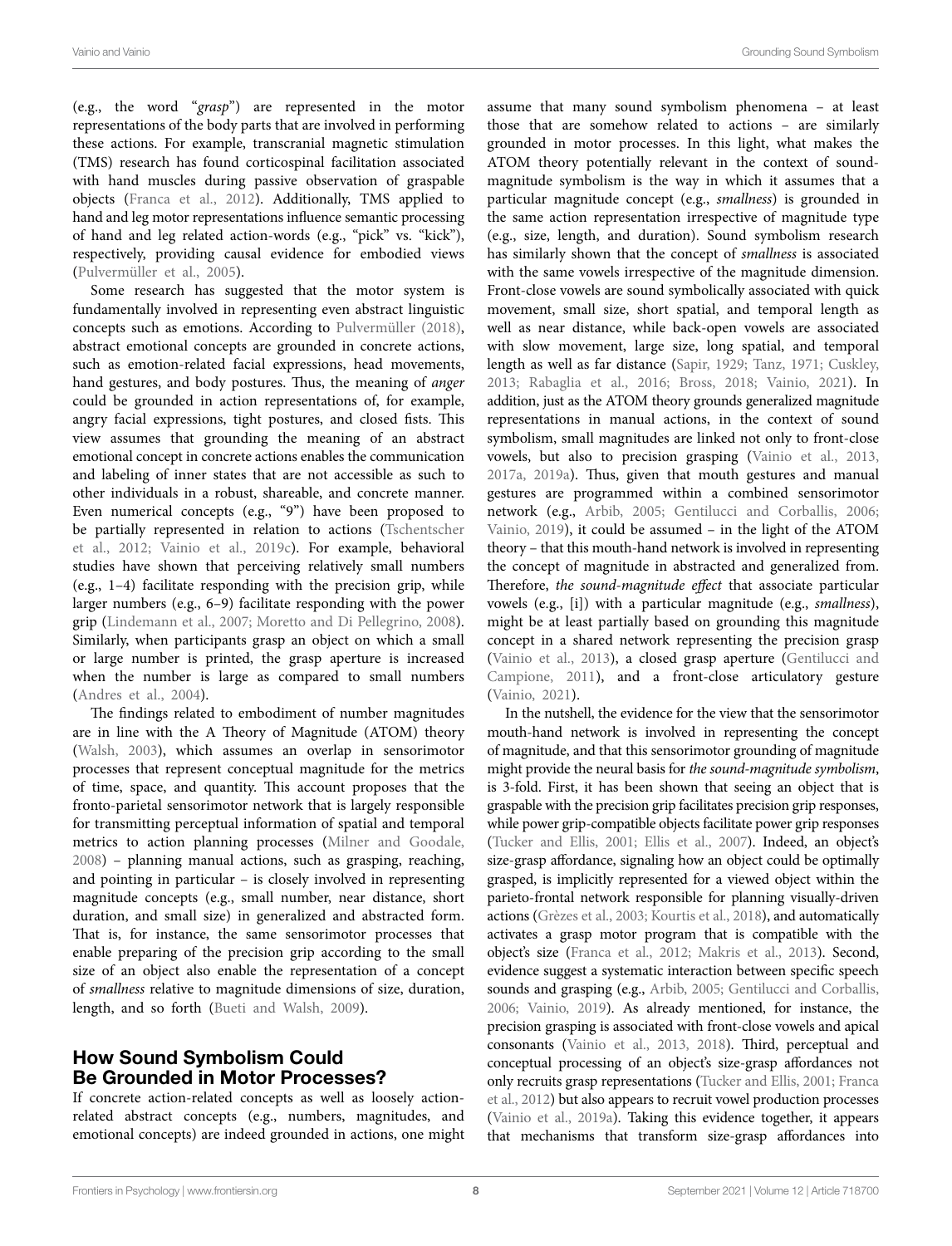(e.g., the word "*grasp*") are represented in the motor representations of the body parts that are involved in performing these actions. For example, transcranial magnetic stimulation (TMS) research has found corticospinal facilitation associated with hand muscles during passive observation of graspable objects (Franca et al., 2012). Additionally, TMS applied to hand and leg motor representations influence semantic processing of hand and leg related action-words (e.g., "pick" vs. "kick"), respectively, providing causal evidence for embodied views (Pulvermüller et al., 2005).

Some research has suggested that the motor system is fundamentally involved in representing even abstract linguistic concepts such as emotions. According to Pulvermüller (2018), abstract emotional concepts are grounded in concrete actions, such as emotion-related facial expressions, head movements, hand gestures, and body postures. Thus, the meaning of *anger* could be grounded in action representations of, for example, angry facial expressions, tight postures, and closed fists. This view assumes that grounding the meaning of an abstract emotional concept in concrete actions enables the communication and labeling of inner states that are not accessible as such to other individuals in a robust, shareable, and concrete manner. Even numerical concepts (e.g., "9") have been proposed to be partially represented in relation to actions (Tschentscher et al., 2012; Vainio et al., 2019c). For example, behavioral studies have shown that perceiving relatively small numbers (e.g., 1–4) facilitate responding with the precision grip, while larger numbers (e.g., 6–9) facilitate responding with the power grip (Lindemann et al., 2007; Moretto and Di Pellegrino, 2008). Similarly, when participants grasp an object on which a small or large number is printed, the grasp aperture is increased when the number is large as compared to small numbers (Andres et al., 2004).

The findings related to embodiment of number magnitudes are in line with the A Theory of Magnitude (ATOM) theory (Walsh, 2003), which assumes an overlap in sensorimotor processes that represent conceptual magnitude for the metrics of time, space, and quantity. This account proposes that the fronto-parietal sensorimotor network that is largely responsible for transmitting perceptual information of spatial and temporal metrics to action planning processes (Milner and Goodale, 2008) – planning manual actions, such as grasping, reaching, and pointing in particular – is closely involved in representing magnitude concepts (e.g., small number, near distance, short duration, and small size) in generalized and abstracted form. That is, for instance, the same sensorimotor processes that enable preparing of the precision grip according to the small size of an object also enable the representation of a concept of *smallness* relative to magnitude dimensions of size, duration, length, and so forth (Bueti and Walsh, 2009).

#### How Sound Symbolism Could Be Grounded in Motor Processes?

If concrete action-related concepts as well as loosely actionrelated abstract concepts (e.g., numbers, magnitudes, and emotional concepts) are indeed grounded in actions, one might assume that many sound symbolism phenomena – at least those that are somehow related to actions – are similarly grounded in motor processes. In this light, what makes the ATOM theory potentially relevant in the context of soundmagnitude symbolism is the way in which it assumes that a particular magnitude concept (e.g., *smallness*) is grounded in the same action representation irrespective of magnitude type (e.g., size, length, and duration). Sound symbolism research has similarly shown that the concept of *smallness* is associated with the same vowels irrespective of the magnitude dimension. Front-close vowels are sound symbolically associated with quick movement, small size, short spatial, and temporal length as well as near distance, while back-open vowels are associated with slow movement, large size, long spatial, and temporal length as well as far distance (Sapir, 1929; Tanz, 1971; Cuskley, 2013; Rabaglia et al., 2016; Bross, 2018; Vainio, 2021). In addition, just as the ATOM theory grounds generalized magnitude representations in manual actions, in the context of sound symbolism, small magnitudes are linked not only to front-close vowels, but also to precision grasping (Vainio et al., 2013, 2017a, 2019a). Thus, given that mouth gestures and manual gestures are programmed within a combined sensorimotor network (e.g., Arbib, 2005; Gentilucci and Corballis, 2006; Vainio, 2019), it could be assumed – in the light of the ATOM theory – that this mouth-hand network is involved in representing the concept of magnitude in abstracted and generalized from. Therefore, *the sound-magnitude effect* that associate particular vowels (e.g., [i]) with a particular magnitude (e.g., *smallness*), might be at least partially based on grounding this magnitude concept in a shared network representing the precision grasp (Vainio et al., 2013), a closed grasp aperture (Gentilucci and Campione, 2011), and a front-close articulatory gesture (Vainio, 2021).

In the nutshell, the evidence for the view that the sensorimotor mouth-hand network is involved in representing the concept of magnitude, and that this sensorimotor grounding of magnitude might provide the neural basis for *the sound-magnitude symbolism*, is 3-fold. First, it has been shown that seeing an object that is graspable with the precision grip facilitates precision grip responses, while power grip-compatible objects facilitate power grip responses (Tucker and Ellis, 2001; Ellis et al., 2007). Indeed, an object's size-grasp affordance, signaling how an object could be optimally grasped, is implicitly represented for a viewed object within the parieto-frontal network responsible for planning visually-driven actions (Grèzes et al., 2003; Kourtis et al., 2018), and automatically activates a grasp motor program that is compatible with the object's size (Franca et al., 2012; Makris et al., 2013). Second, evidence suggest a systematic interaction between specific speech sounds and grasping (e.g., Arbib, 2005; Gentilucci and Corballis, 2006; Vainio, 2019). As already mentioned, for instance, the precision grasping is associated with front-close vowels and apical consonants (Vainio et al., 2013, 2018). Third, perceptual and conceptual processing of an object's size-grasp affordances not only recruits grasp representations (Tucker and Ellis, 2001; Franca et al., 2012) but also appears to recruit vowel production processes (Vainio et al., 2019a). Taking this evidence together, it appears that mechanisms that transform size-grasp affordances into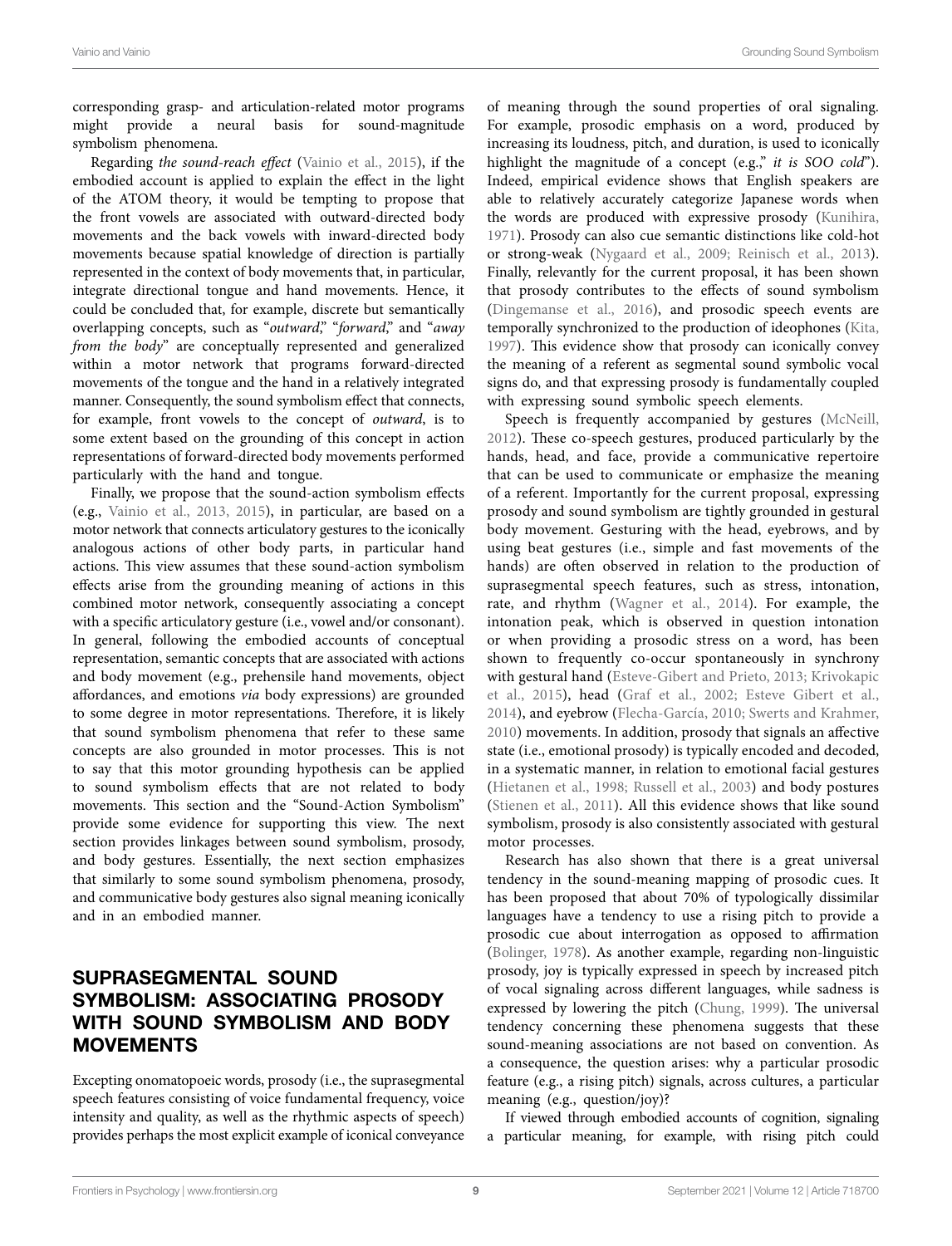corresponding grasp- and articulation-related motor programs might provide a neural basis for sound-magnitude symbolism phenomena.

Regarding *the sound-reach effect* (Vainio et al., 2015), if the embodied account is applied to explain the effect in the light of the ATOM theory, it would be tempting to propose that the front vowels are associated with outward-directed body movements and the back vowels with inward-directed body movements because spatial knowledge of direction is partially represented in the context of body movements that, in particular, integrate directional tongue and hand movements. Hence, it could be concluded that, for example, discrete but semantically overlapping concepts, such as "*outward*," "*forward*," and "*away from the body*" are conceptually represented and generalized within a motor network that programs forward-directed movements of the tongue and the hand in a relatively integrated manner. Consequently, the sound symbolism effect that connects, for example, front vowels to the concept of *outward*, is to some extent based on the grounding of this concept in action representations of forward-directed body movements performed particularly with the hand and tongue.

Finally, we propose that the sound-action symbolism effects (e.g., Vainio et al., 2013, 2015), in particular, are based on a motor network that connects articulatory gestures to the iconically analogous actions of other body parts, in particular hand actions. This view assumes that these sound-action symbolism effects arise from the grounding meaning of actions in this combined motor network, consequently associating a concept with a specific articulatory gesture (i.e., vowel and/or consonant). In general, following the embodied accounts of conceptual representation, semantic concepts that are associated with actions and body movement (e.g., prehensile hand movements, object affordances, and emotions *via* body expressions) are grounded to some degree in motor representations. Therefore, it is likely that sound symbolism phenomena that refer to these same concepts are also grounded in motor processes. This is not to say that this motor grounding hypothesis can be applied to sound symbolism effects that are not related to body movements. This section and the "Sound-Action Symbolism" provide some evidence for supporting this view. The next section provides linkages between sound symbolism, prosody, and body gestures. Essentially, the next section emphasizes that similarly to some sound symbolism phenomena, prosody, and communicative body gestures also signal meaning iconically and in an embodied manner.

## SUPRASEGMENTAL SOUND SYMBOLISM: ASSOCIATING PROSODY WITH SOUND SYMBOLISM AND BODY **MOVEMENTS**

Excepting onomatopoeic words, prosody (i.e., the suprasegmental speech features consisting of voice fundamental frequency, voice intensity and quality, as well as the rhythmic aspects of speech) provides perhaps the most explicit example of iconical conveyance

of meaning through the sound properties of oral signaling. For example, prosodic emphasis on a word, produced by increasing its loudness, pitch, and duration, is used to iconically highlight the magnitude of a concept (e.g.," *it is SOO cold*"). Indeed, empirical evidence shows that English speakers are able to relatively accurately categorize Japanese words when the words are produced with expressive prosody (Kunihira, 1971). Prosody can also cue semantic distinctions like cold-hot or strong-weak (Nygaard et al., 2009; Reinisch et al., 2013). Finally, relevantly for the current proposal, it has been shown that prosody contributes to the effects of sound symbolism (Dingemanse et al., 2016), and prosodic speech events are temporally synchronized to the production of ideophones (Kita, 1997). This evidence show that prosody can iconically convey the meaning of a referent as segmental sound symbolic vocal signs do, and that expressing prosody is fundamentally coupled with expressing sound symbolic speech elements.

Speech is frequently accompanied by gestures (McNeill, 2012). These co-speech gestures, produced particularly by the hands, head, and face, provide a communicative repertoire that can be used to communicate or emphasize the meaning of a referent. Importantly for the current proposal, expressing prosody and sound symbolism are tightly grounded in gestural body movement. Gesturing with the head, eyebrows, and by using beat gestures (i.e., simple and fast movements of the hands) are often observed in relation to the production of suprasegmental speech features, such as stress, intonation, rate, and rhythm (Wagner et al., 2014). For example, the intonation peak, which is observed in question intonation or when providing a prosodic stress on a word, has been shown to frequently co-occur spontaneously in synchrony with gestural hand (Esteve-Gibert and Prieto, 2013; Krivokapic et al., 2015), head (Graf et al., 2002; Esteve Gibert et al., 2014), and eyebrow (Flecha-García, 2010; Swerts and Krahmer, 2010) movements. In addition, prosody that signals an affective state (i.e., emotional prosody) is typically encoded and decoded, in a systematic manner, in relation to emotional facial gestures (Hietanen et al., 1998; Russell et al., 2003) and body postures (Stienen et al., 2011). All this evidence shows that like sound symbolism, prosody is also consistently associated with gestural motor processes.

Research has also shown that there is a great universal tendency in the sound-meaning mapping of prosodic cues. It has been proposed that about 70% of typologically dissimilar languages have a tendency to use a rising pitch to provide a prosodic cue about interrogation as opposed to affirmation (Bolinger, 1978). As another example, regarding non-linguistic prosody, joy is typically expressed in speech by increased pitch of vocal signaling across different languages, while sadness is expressed by lowering the pitch (Chung, 1999). The universal tendency concerning these phenomena suggests that these sound-meaning associations are not based on convention. As a consequence, the question arises: why a particular prosodic feature (e.g., a rising pitch) signals, across cultures, a particular meaning (e.g., question/joy)?

If viewed through embodied accounts of cognition, signaling a particular meaning, for example, with rising pitch could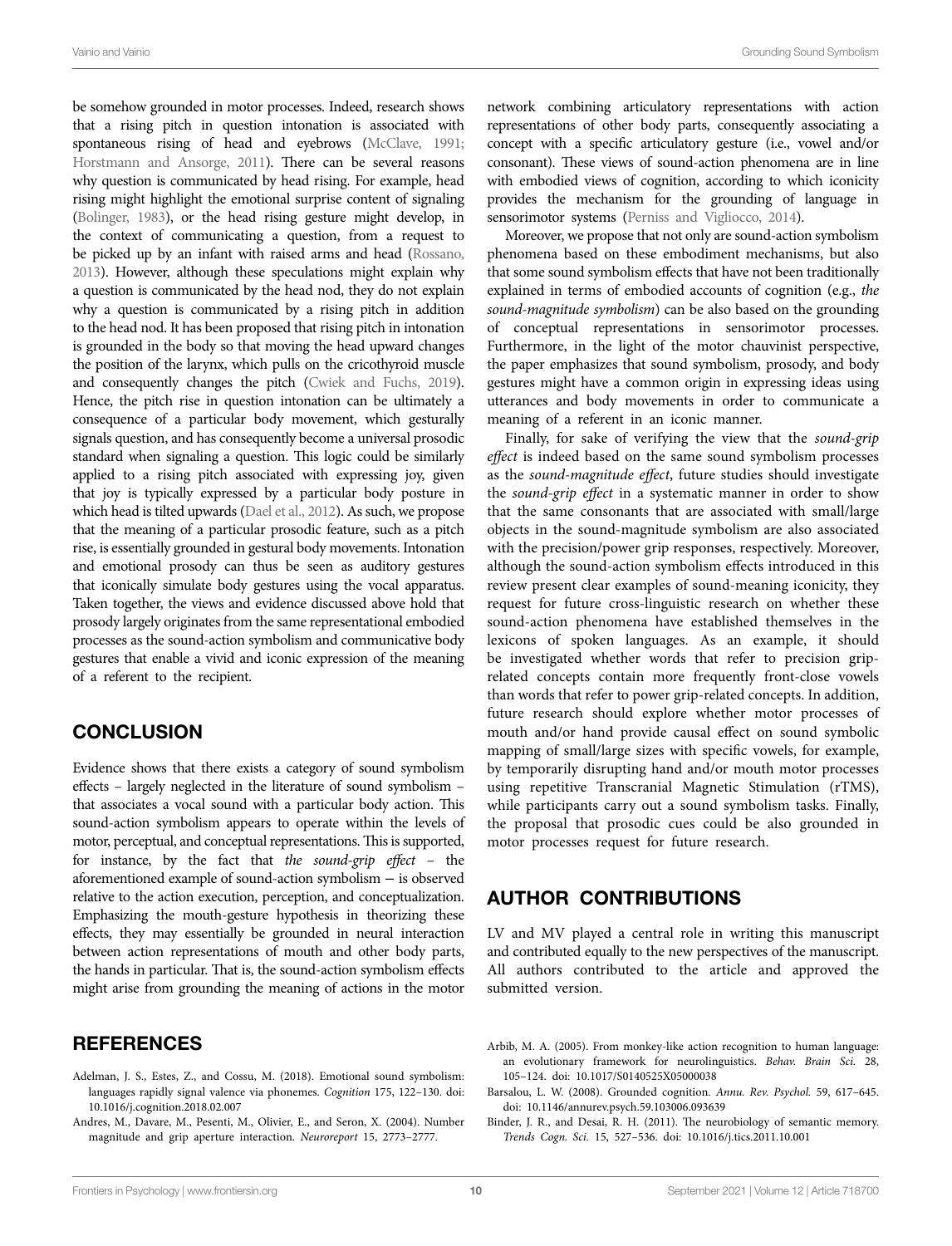be somehow grounded in motor processes. Indeed, research shows that a rising pitch in question intonation is associated with spontaneous rising of head and eyebrows (McClave, 1991; Horstmann and Ansorge, 2011). There can be several reasons why question is communicated by head rising. For example, head rising might highlight the emotional surprise content of signaling (Bolinger, 1983), or the head rising gesture might develop, in the context of communicating a question, from a request to be picked up by an infant with raised arms and head (Rossano, 2013). However, although these speculations might explain why a question is communicated by the head nod, they do not explain why a question is communicated by a rising pitch in addition to the head nod. It has been proposed that rising pitch in intonation is grounded in the body so that moving the head upward changes the position of the larynx, which pulls on the cricothyroid muscle and consequently changes the pitch (Cwiek and Fuchs, 2019). Hence, the pitch rise in question intonation can be ultimately a consequence of a particular body movement, which gesturally signals question, and has consequently become a universal prosodic standard when signaling a question. This logic could be similarly applied to a rising pitch associated with expressing joy, given that joy is typically expressed by a particular body posture in which head is tilted upwards (Dael et al., 2012). As such, we propose that the meaning of a particular prosodic feature, such as a pitch rise, is essentially grounded in gestural body movements. Intonation and emotional prosody can thus be seen as auditory gestures that iconically simulate body gestures using the vocal apparatus. Taken together, the views and evidence discussed above hold that prosody largely originates from the same representational embodied processes as the sound-action symbolism and communicative body gestures that enable a vivid and iconic expression of the meaning of a referent to the recipient.

#### **CONCLUSION**

Evidence shows that there exists a category of sound symbolism effects – largely neglected in the literature of sound symbolism – that associates a vocal sound with a particular body action. This sound-action symbolism appears to operate within the levels of motor, perceptual, and conceptual representations. This is supported, for instance, by the fact that *the sound-grip effect* – the aforementioned example of sound-action symbolism − is observed relative to the action execution, perception, and conceptualization. Emphasizing the mouth-gesture hypothesis in theorizing these effects, they may essentially be grounded in neural interaction between action representations of mouth and other body parts, the hands in particular. That is, the sound-action symbolism effects might arise from grounding the meaning of actions in the motor

### REFERENCES

- Adelman, J. S., Estes, Z., and Cossu, M. (2018). Emotional sound symbolism: languages rapidly signal valence via phonemes. *Cognition* 175, 122–130. doi: [10.1016/j.cognition.2018.02.007](https://doi.org/10.1016/j.cognition.2018.02.007)
- Andres, M., Davare, M., Pesenti, M., Olivier, E., and Seron, X. (2004). Number magnitude and grip aperture interaction. *Neuroreport* 15, 2773–2777.

network combining articulatory representations with action representations of other body parts, consequently associating a concept with a specific articulatory gesture (i.e., vowel and/or consonant). These views of sound-action phenomena are in line with embodied views of cognition, according to which iconicity provides the mechanism for the grounding of language in sensorimotor systems (Perniss and Vigliocco, 2014).

Moreover, we propose that not only are sound-action symbolism phenomena based on these embodiment mechanisms, but also that some sound symbolism effects that have not been traditionally explained in terms of embodied accounts of cognition (e.g., *the sound-magnitude symbolism*) can be also based on the grounding of conceptual representations in sensorimotor processes. Furthermore, in the light of the motor chauvinist perspective, the paper emphasizes that sound symbolism, prosody, and body gestures might have a common origin in expressing ideas using utterances and body movements in order to communicate a meaning of a referent in an iconic manner.

Finally, for sake of verifying the view that the *sound-grip effect* is indeed based on the same sound symbolism processes as the *sound-magnitude effect*, future studies should investigate the *sound-grip effect* in a systematic manner in order to show that the same consonants that are associated with small/large objects in the sound-magnitude symbolism are also associated with the precision/power grip responses, respectively. Moreover, although the sound-action symbolism effects introduced in this review present clear examples of sound-meaning iconicity, they request for future cross-linguistic research on whether these sound-action phenomena have established themselves in the lexicons of spoken languages. As an example, it should be investigated whether words that refer to precision griprelated concepts contain more frequently front-close vowels than words that refer to power grip-related concepts. In addition, future research should explore whether motor processes of mouth and/or hand provide causal effect on sound symbolic mapping of small/large sizes with specific vowels, for example, by temporarily disrupting hand and/or mouth motor processes using repetitive Transcranial Magnetic Stimulation (rTMS), while participants carry out a sound symbolism tasks. Finally, the proposal that prosodic cues could be also grounded in motor processes request for future research.

#### AUTHOR CONTRIBUTIONS

LV and MV played a central role in writing this manuscript and contributed equally to the new perspectives of the manuscript. All authors contributed to the article and approved the submitted version.

- Arbib, M. A. (2005). From monkey-like action recognition to human language: an evolutionary framework for neurolinguistics. *Behav. Brain Sci.* 28, 105–124. doi: [10.1017/S0140525X05000038](https://doi.org/10.1017/S0140525X05000038)
- Barsalou, L. W. (2008). Grounded cognition. *Annu. Rev. Psychol.* 59, 617–645. doi: [10.1146/annurev.psych.59.103006.093639](https://doi.org/10.1146/annurev.psych.59.103006.093639)
- Binder, J. R., and Desai, R. H. (2011). The neurobiology of semantic memory. *Trends Cogn. Sci.* 15, 527–536. doi: [10.1016/j.tics.2011.10.001](https://doi.org/10.1016/j.tics.2011.10.001)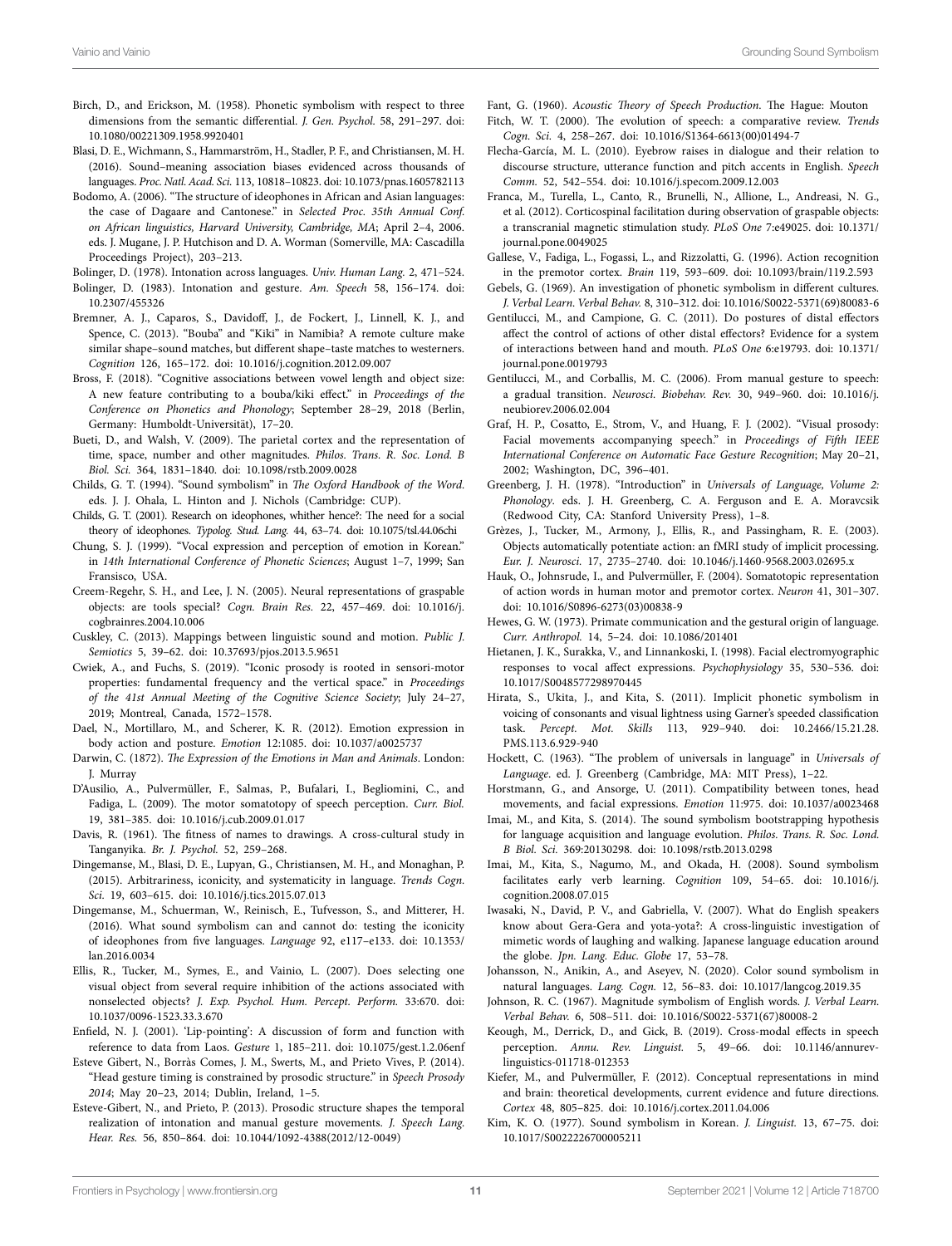- Birch, D., and Erickson, M. (1958). Phonetic symbolism with respect to three dimensions from the semantic differential. *J. Gen. Psychol.* 58, 291–297. doi: [10.1080/00221309.1958.9920401](https://doi.org/10.1080/00221309.1958.9920401)
- Blasi, D. E., Wichmann, S., Hammarström, H., Stadler, P. F., and Christiansen, M. H. (2016). Sound–meaning association biases evidenced across thousands of languages. *Proc. Natl. Acad. Sci.* 113, 10818–10823. doi: [10.1073/pnas.1605782113](https://doi.org/10.1073/pnas.1605782113)
- Bodomo, A. (2006). "The structure of ideophones in African and Asian languages: the case of Dagaare and Cantonese." in *Selected Proc. 35th Annual Conf. on African linguistics, Harvard University, Cambridge, MA*; April 2–4, 2006. eds. J. Mugane, J. P. Hutchison and D. A. Worman (Somerville, MA: Cascadilla Proceedings Project), 203–213.

Bolinger, D. (1978). Intonation across languages. *Univ. Human Lang.* 2, 471–524.

- Bolinger, D. (1983). Intonation and gesture. *Am. Speech* 58, 156–174. doi: [10.2307/455326](https://doi.org/10.2307/455326)
- Bremner, A. J., Caparos, S., Davidoff, J., de Fockert, J., Linnell, K. J., and Spence, C. (2013). "Bouba" and "Kiki" in Namibia? A remote culture make similar shape–sound matches, but different shape–taste matches to westerners. *Cognition* 126, 165–172. doi: [10.1016/j.cognition.2012.09.007](https://doi.org/10.1016/j.cognition.2012.09.007)
- Bross, F. (2018). "Cognitive associations between vowel length and object size: A new feature contributing to a bouba/kiki effect." in *Proceedings of the Conference on Phonetics and Phonology*; September 28–29, 2018 (Berlin, Germany: Humboldt-Universität), 17–20.
- Bueti, D., and Walsh, V. (2009). The parietal cortex and the representation of time, space, number and other magnitudes. *Philos. Trans. R. Soc. Lond. B Biol. Sci.* 364, 1831–1840. doi: [10.1098/rstb.2009.0028](https://doi.org/10.1098/rstb.2009.0028)
- Childs, G. T. (1994). "Sound symbolism" in *The Oxford Handbook of the Word.*  eds. J. J. Ohala, L. Hinton and J. Nichols (Cambridge: CUP).
- Childs, G. T. (2001). Research on ideophones, whither hence?: The need for a social theory of ideophones. *Typolog. Stud. Lang.* 44, 63–74. doi: [10.1075/tsl.44.06chi](https://doi.org/10.1075/tsl.44.06chi)
- Chung, S. J. (1999). "Vocal expression and perception of emotion in Korean." in *14th International Conference of Phonetic Sciences*; August 1–7, 1999; San Fransisco, USA.
- Creem-Regehr, S. H., and Lee, J. N. (2005). Neural representations of graspable objects: are tools special? *Cogn. Brain Res.* 22, 457–469. doi: [10.1016/j.](https://doi.org/10.1016/j.cogbrainres.2004.10.006) [cogbrainres.2004.10.006](https://doi.org/10.1016/j.cogbrainres.2004.10.006)
- Cuskley, C. (2013). Mappings between linguistic sound and motion. *Public J. Semiotics* 5, 39–62. doi: [10.37693/pjos.2013.5.9651](https://doi.org/10.37693/pjos.2013.5.9651)
- Cwiek, A., and Fuchs, S. (2019). "Iconic prosody is rooted in sensori-motor properties: fundamental frequency and the vertical space." in *Proceedings of the 41st Annual Meeting of the Cognitive Science Society*; July 24–27, 2019; Montreal, Canada, 1572–1578.
- Dael, N., Mortillaro, M., and Scherer, K. R. (2012). Emotion expression in body action and posture. *Emotion* 12:1085. doi: [10.1037/a0025737](https://doi.org/10.1037/a0025737)
- Darwin, C. (1872). *The Expression of the Emotions in Man and Animals*. London: J. Murray
- D'Ausilio, A., Pulvermüller, F., Salmas, P., Bufalari, I., Begliomini, C., and Fadiga, L. (2009). The motor somatotopy of speech perception. *Curr. Biol.* 19, 381–385. doi: [10.1016/j.cub.2009.01.017](https://doi.org/10.1016/j.cub.2009.01.017)
- Davis, R. (1961). The fitness of names to drawings. A cross-cultural study in Tanganyika. *Br. J. Psychol.* 52, 259–268.
- Dingemanse, M., Blasi, D. E., Lupyan, G., Christiansen, M. H., and Monaghan, P. (2015). Arbitrariness, iconicity, and systematicity in language. *Trends Cogn. Sci.* 19, 603–615. doi: [10.1016/j.tics.2015.07.013](https://doi.org/10.1016/j.tics.2015.07.013)
- Dingemanse, M., Schuerman, W., Reinisch, E., Tufvesson, S., and Mitterer, H. (2016). What sound symbolism can and cannot do: testing the iconicity of ideophones from five languages. *Language* 92, e117–e133. doi: [10.1353/](https://doi.org/10.1353/lan.2016.0034) [lan.2016.0034](https://doi.org/10.1353/lan.2016.0034)
- Ellis, R., Tucker, M., Symes, E., and Vainio, L. (2007). Does selecting one visual object from several require inhibition of the actions associated with nonselected objects? *J. Exp. Psychol. Hum. Percept. Perform.* 33:670. doi: [10.1037/0096-1523.33.3.670](https://doi.org/10.1037/0096-1523.33.3.670)
- Enfield, N. J. (2001). 'Lip-pointing': A discussion of form and function with reference to data from Laos. *Gesture* 1, 185–211. doi: [10.1075/gest.1.2.06enf](https://doi.org/10.1075/gest.1.2.06enf)
- Esteve Gibert, N., Borràs Comes, J. M., Swerts, M., and Prieto Vives, P. (2014). "Head gesture timing is constrained by prosodic structure." in *Speech Prosody 2014*; May 20–23, 2014; Dublin, Ireland, 1–5.
- Esteve-Gibert, N., and Prieto, P. (2013). Prosodic structure shapes the temporal realization of intonation and manual gesture movements. *J. Speech Lang. Hear. Res.* 56, 850–864. doi: [10.1044/1092-4388\(2012/12-0049\)](https://doi.org/10.1044/1092-4388(2012/12-0049))

Fant, G. (1960). *Acoustic Theory of Speech Production*. The Hague: Mouton

- Fitch, W. T. (2000). The evolution of speech: a comparative review. *Trends Cogn. Sci.* 4, 258–267. doi: [10.1016/S1364-6613\(00\)01494-7](https://doi.org/10.1016/S1364-6613(00)01494-7)
- Flecha-García, M. L. (2010). Eyebrow raises in dialogue and their relation to discourse structure, utterance function and pitch accents in English. *Speech Comm.* 52, 542–554. doi: [10.1016/j.specom.2009.12.003](https://doi.org/10.1016/j.specom.2009.12.003)
- Franca, M., Turella, L., Canto, R., Brunelli, N., Allione, L., Andreasi, N. G., et al. (2012). Corticospinal facilitation during observation of graspable objects: a transcranial magnetic stimulation study. *PLoS One* 7:e49025. doi: [10.1371/](https://doi.org/10.1371/journal.pone.0049025) [journal.pone.0049025](https://doi.org/10.1371/journal.pone.0049025)
- Gallese, V., Fadiga, L., Fogassi, L., and Rizzolatti, G. (1996). Action recognition in the premotor cortex. *Brain* 119, 593–609. doi: [10.1093/brain/119.2.593](https://doi.org/10.1093/brain/119.2.593)
- Gebels, G. (1969). An investigation of phonetic symbolism in different cultures. *J. Verbal Learn. Verbal Behav.* 8, 310–312. doi: [10.1016/S0022-5371\(69\)80083-6](https://doi.org/10.1016/S0022-5371(69)80083-6)
- Gentilucci, M., and Campione, G. C. (2011). Do postures of distal effectors affect the control of actions of other distal effectors? Evidence for a system of interactions between hand and mouth. *PLoS One* 6:e19793. doi: [10.1371/](https://doi.org/10.1371/journal.pone.0019793) [journal.pone.0019793](https://doi.org/10.1371/journal.pone.0019793)
- Gentilucci, M., and Corballis, M. C. (2006). From manual gesture to speech: a gradual transition. *Neurosci. Biobehav. Rev.* 30, 949–960. doi: [10.1016/j.](https://doi.org/10.1016/j.neubiorev.2006.02.004) [neubiorev.2006.02.004](https://doi.org/10.1016/j.neubiorev.2006.02.004)
- Graf, H. P., Cosatto, E., Strom, V., and Huang, F. J. (2002). "Visual prosody: Facial movements accompanying speech." in *Proceedings of Fifth IEEE International Conference on Automatic Face Gesture Recognition*; May 20–21, 2002; Washington, DC, 396–401.
- Greenberg, J. H. (1978). "Introduction" in *Universals of Language, Volume 2: Phonology*. eds. J. H. Greenberg, C. A. Ferguson and E. A. Moravcsik (Redwood City, CA: Stanford University Press), 1–8.
- Grèzes, J., Tucker, M., Armony, J., Ellis, R., and Passingham, R. E. (2003). Objects automatically potentiate action: an fMRI study of implicit processing. *Eur. J. Neurosci.* 17, 2735–2740. doi: [10.1046/j.1460-9568.2003.02695.x](https://doi.org/10.1046/j.1460-9568.2003.02695.x)
- Hauk, O., Johnsrude, I., and Pulvermüller, F. (2004). Somatotopic representation of action words in human motor and premotor cortex. *Neuron* 41, 301–307. doi: [10.1016/S0896-6273\(03\)00838-9](https://doi.org/10.1016/S0896-6273(03)00838-9)
- Hewes, G. W. (1973). Primate communication and the gestural origin of language. *Curr. Anthropol.* 14, 5–24. doi: [10.1086/201401](https://doi.org/10.1086/201401)
- Hietanen, J. K., Surakka, V., and Linnankoski, I. (1998). Facial electromyographic responses to vocal affect expressions. *Psychophysiology* 35, 530–536. doi: [10.1017/S0048577298970445](https://doi.org/10.1017/S0048577298970445)
- Hirata, S., Ukita, J., and Kita, S. (2011). Implicit phonetic symbolism in voicing of consonants and visual lightness using Garner's speeded classification task. *Percept. Mot. Skills* 113, 929–940. doi: [10.2466/15.21.28.](https://doi.org/10.2466/15.21.28.PMS.113.6.929-940) [PMS.113.6.929-940](https://doi.org/10.2466/15.21.28.PMS.113.6.929-940)
- Hockett, C. (1963). "The problem of universals in language" in *Universals of Language*. ed. J. Greenberg (Cambridge, MA: MIT Press), 1–22.
- Horstmann, G., and Ansorge, U. (2011). Compatibility between tones, head movements, and facial expressions. *Emotion* 11:975. doi: [10.1037/a0023468](https://doi.org/10.1037/a0023468)
- Imai, M., and Kita, S. (2014). The sound symbolism bootstrapping hypothesis for language acquisition and language evolution. *Philos. Trans. R. Soc. Lond. B Biol. Sci.* 369:20130298. doi: [10.1098/rstb.2013.0298](https://doi.org/10.1098/rstb.2013.0298)
- Imai, M., Kita, S., Nagumo, M., and Okada, H. (2008). Sound symbolism facilitates early verb learning. *Cognition* 109, 54–65. doi: [10.1016/j.](https://doi.org/10.1016/j.cognition.2008.07.015) [cognition.2008.07.015](https://doi.org/10.1016/j.cognition.2008.07.015)
- Iwasaki, N., David, P. V., and Gabriella, V. (2007). What do English speakers know about Gera-Gera and yota-yota?: A cross-linguistic investigation of mimetic words of laughing and walking. Japanese language education around the globe. *Jpn. Lang. Educ. Globe* 17, 53–78.
- Johansson, N., Anikin, A., and Aseyev, N. (2020). Color sound symbolism in natural languages. *Lang. Cogn.* 12, 56–83. doi: [10.1017/langcog.2019.35](https://doi.org/10.1017/langcog.2019.35)
- Johnson, R. C. (1967). Magnitude symbolism of English words. *J. Verbal Learn. Verbal Behav.* 6, 508–511. doi: [10.1016/S0022-5371\(67\)80008-2](https://doi.org/10.1016/S0022-5371(67)80008-2)
- Keough, M., Derrick, D., and Gick, B. (2019). Cross-modal effects in speech perception. *Annu. Rev. Linguist.* 5, 49–66. doi: [10.1146/annurev](https://doi.org/10.1146/annurev-linguistics-011718-012353)[linguistics-011718-012353](https://doi.org/10.1146/annurev-linguistics-011718-012353)
- Kiefer, M., and Pulvermüller, F. (2012). Conceptual representations in mind and brain: theoretical developments, current evidence and future directions. *Cortex* 48, 805–825. doi: [10.1016/j.cortex.2011.04.006](https://doi.org/10.1016/j.cortex.2011.04.006)
- Kim, K. O. (1977). Sound symbolism in Korean. *J. Linguist.* 13, 67–75. doi: [10.1017/S0022226700005211](https://doi.org/10.1017/S0022226700005211)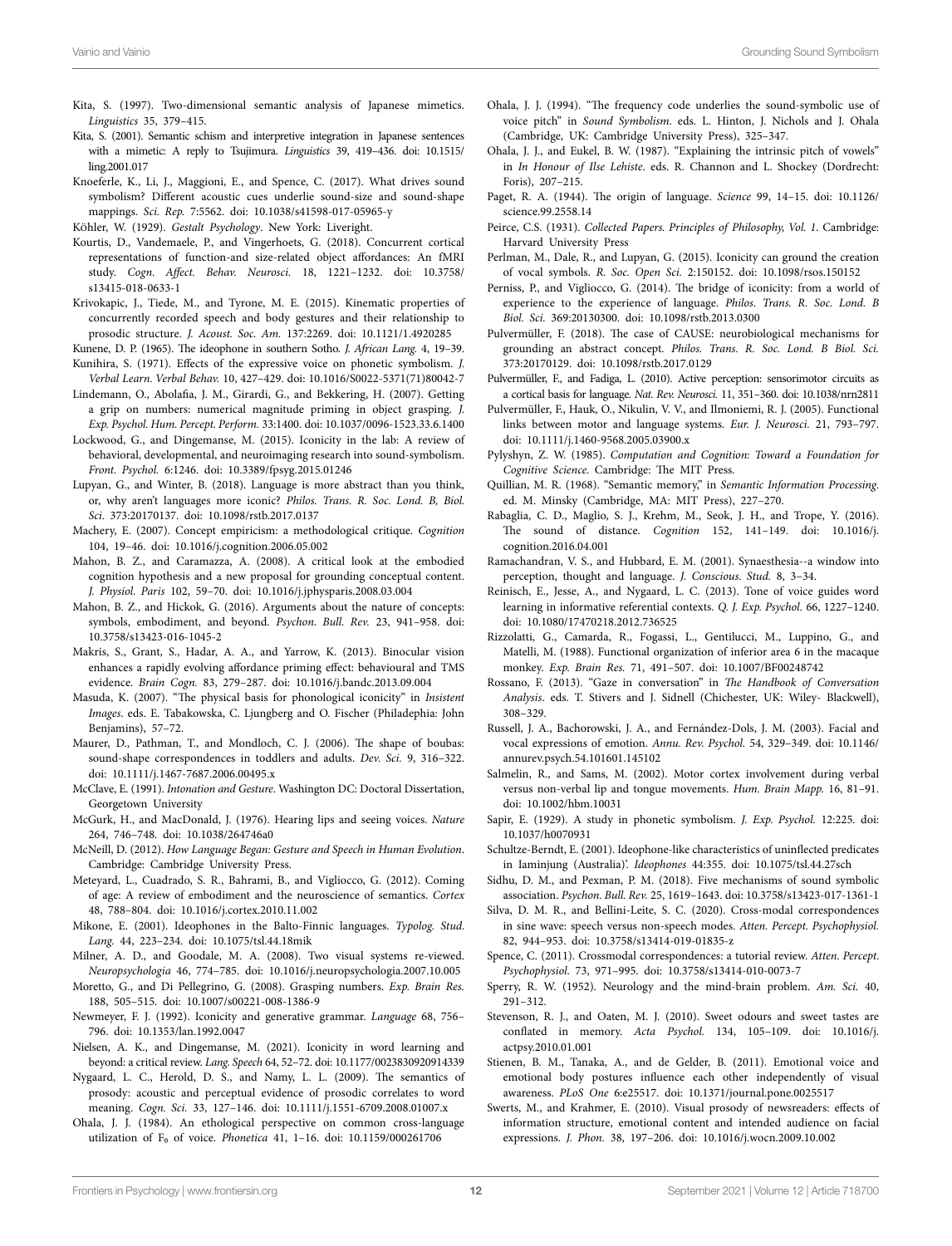- Kita, S. (1997). Two-dimensional semantic analysis of Japanese mimetics. *Linguistics* 35, 379–415.
- Kita, S. (2001). Semantic schism and interpretive integration in Japanese sentences with a mimetic: A reply to Tsujimura. *Linguistics* 39, 419–436. doi: [10.1515/](https://doi.org/10.1515/ling.2001.017) [ling.2001.017](https://doi.org/10.1515/ling.2001.017)
- Knoeferle, K., Li, J., Maggioni, E., and Spence, C. (2017). What drives sound symbolism? Different acoustic cues underlie sound-size and sound-shape mappings. *Sci. Rep.* 7:5562. doi: [10.1038/s41598-017-05965-y](https://doi.org/10.1038/s41598-017-05965-y)

- Kourtis, D., Vandemaele, P., and Vingerhoets, G. (2018). Concurrent cortical representations of function-and size-related object affordances: An fMRI study. *Cogn. Affect. Behav. Neurosci.* 18, 1221–1232. doi: [10.3758/](https://doi.org/10.3758/s13415-018-0633-1) [s13415-018-0633-1](https://doi.org/10.3758/s13415-018-0633-1)
- Krivokapic, J., Tiede, M., and Tyrone, M. E. (2015). Kinematic properties of concurrently recorded speech and body gestures and their relationship to prosodic structure. *J. Acoust. Soc. Am.* 137:2269. doi: [10.1121/1.4920285](https://doi.org/10.1121/1.4920285)
- Kunene, D. P. (1965). The ideophone in southern Sotho. *J. African Lang.* 4, 19–39. Kunihira, S. (1971). Effects of the expressive voice on phonetic symbolism. *J. Verbal Learn. Verbal Behav.* 10, 427–429. doi: [10.1016/S0022-5371\(71\)80042-7](https://doi.org/10.1016/S0022-5371(71)80042-7)
- Lindemann, O., Abolafia, J. M., Girardi, G., and Bekkering, H. (2007). Getting a grip on numbers: numerical magnitude priming in object grasping. *J. Exp. Psychol. Hum. Percept. Perform.* 33:1400. doi: [10.1037/0096-1523.33.6.1400](https://doi.org/10.1037/0096-1523.33.6.1400)
- Lockwood, G., and Dingemanse, M. (2015). Iconicity in the lab: A review of behavioral, developmental, and neuroimaging research into sound-symbolism. *Front. Psychol.* 6:1246. doi: [10.3389/fpsyg.2015.01246](https://doi.org/10.3389/fpsyg.2015.01246)
- Lupyan, G., and Winter, B. (2018). Language is more abstract than you think, or, why aren't languages more iconic? *Philos. Trans. R. Soc. Lond. B, Biol. Sci*. 373:20170137. doi: [10.1098/rstb.2017.0137](https://doi.org/10.1098/rstb.2017.0137)
- Machery, E. (2007). Concept empiricism: a methodological critique. *Cognition* 104, 19–46. doi: [10.1016/j.cognition.2006.05.002](https://doi.org/10.1016/j.cognition.2006.05.002)
- Mahon, B. Z., and Caramazza, A. (2008). A critical look at the embodied cognition hypothesis and a new proposal for grounding conceptual content. *J. Physiol. Paris* 102, 59–70. doi: [10.1016/j.jphysparis.2008.03.004](https://doi.org/10.1016/j.jphysparis.2008.03.004)
- Mahon, B. Z., and Hickok, G. (2016). Arguments about the nature of concepts: symbols, embodiment, and beyond. *Psychon. Bull. Rev.* 23, 941–958. doi: [10.3758/s13423-016-1045-2](https://doi.org/10.3758/s13423-016-1045-2)
- Makris, S., Grant, S., Hadar, A. A., and Yarrow, K. (2013). Binocular vision enhances a rapidly evolving affordance priming effect: behavioural and TMS evidence. *Brain Cogn.* 83, 279–287. doi: [10.1016/j.bandc.2013.09.004](https://doi.org/10.1016/j.bandc.2013.09.004)
- Masuda, K. (2007). "The physical basis for phonological iconicity" in *Insistent Images*. eds. E. Tabakowska, C. Ljungberg and O. Fischer (Philadephia: John Benjamins), 57-72.
- Maurer, D., Pathman, T., and Mondloch, C. J. (2006). The shape of boubas: sound-shape correspondences in toddlers and adults. *Dev. Sci.* 9, 316–322. doi: [10.1111/j.1467-7687.2006.00495.x](https://doi.org/10.1111/j.1467-7687.2006.00495.x)
- McClave, E. (1991). *Intonation and Gesture*. Washington DC: Doctoral Dissertation, Georgetown University
- McGurk, H., and MacDonald, J. (1976). Hearing lips and seeing voices. *Nature* 264, 746–748. doi: [10.1038/264746a0](https://doi.org/10.1038/264746a0)
- McNeill, D. (2012). *How Language Began: Gesture and Speech in Human Evolution*. Cambridge: Cambridge University Press.
- Meteyard, L., Cuadrado, S. R., Bahrami, B., and Vigliocco, G. (2012). Coming of age: A review of embodiment and the neuroscience of semantics. *Cortex* 48, 788–804. doi: [10.1016/j.cortex.2010.11.002](https://doi.org/10.1016/j.cortex.2010.11.002)
- Mikone, E. (2001). Ideophones in the Balto-Finnic languages. *Typolog. Stud. Lang.* 44, 223–234. doi: [10.1075/tsl.44.18mik](https://doi.org/10.1075/tsl.44.18mik)
- Milner, A. D., and Goodale, M. A. (2008). Two visual systems re-viewed. *Neuropsychologia* 46, 774–785. doi: [10.1016/j.neuropsychologia.2007.10.005](https://doi.org/10.1016/j.neuropsychologia.2007.10.005)
- Moretto, G., and Di Pellegrino, G. (2008). Grasping numbers. *Exp. Brain Res.* 188, 505–515. doi: [10.1007/s00221-008-1386-9](https://doi.org/10.1007/s00221-008-1386-9)
- Newmeyer, F. J. (1992). Iconicity and generative grammar. *Language* 68, 756– 796. doi: [10.1353/lan.1992.0047](https://doi.org/10.1353/lan.1992.0047)
- Nielsen, A. K., and Dingemanse, M. (2021). Iconicity in word learning and beyond: a critical review. *Lang. Speech* 64, 52–72. doi: [10.1177/0023830920914339](https://doi.org/10.1177/0023830920914339)
- Nygaard, L. C., Herold, D. S., and Namy, L. L. (2009). The semantics of prosody: acoustic and perceptual evidence of prosodic correlates to word meaning. *Cogn. Sci.* 33, 127–146. doi: [10.1111/j.1551-6709.2008.01007.x](https://doi.org/10.1111/j.1551-6709.2008.01007.x)
- Ohala, J. J. (1984). An ethological perspective on common cross-language utilization of F₀ of voice. *Phonetica* 41, 1–16. doi: [10.1159/000261706](https://doi.org/10.1159/000261706)
- Ohala, J. J. (1994). "The frequency code underlies the sound-symbolic use of voice pitch" in *Sound Symbolism*. eds. L. Hinton, J. Nichols and J. Ohala (Cambridge, UK: Cambridge University Press), 325–347.
- Ohala, J. J., and Eukel, B. W. (1987). "Explaining the intrinsic pitch of vowels" in *In Honour of Ilse Lehiste*. eds. R. Channon and L. Shockey (Dordrecht: Foris), 207–215.
- Paget, R. A. (1944). The origin of language. *Science* 99, 14–15. doi: [10.1126/](https://doi.org/10.1126/science.99.2558.14) [science.99.2558.14](https://doi.org/10.1126/science.99.2558.14)
- Peirce, C.S. (1931). *Collected Papers. Principles of Philosophy, Vol. 1*. Cambridge: Harvard University Press
- Perlman, M., Dale, R., and Lupyan, G. (2015). Iconicity can ground the creation of vocal symbols. *R. Soc. Open Sci.* 2:150152. doi: [10.1098/rsos.150152](https://doi.org/10.1098/rsos.150152)
- Perniss, P., and Vigliocco, G. (2014). The bridge of iconicity: from a world of experience to the experience of language. *Philos. Trans. R. Soc. Lond. B Biol. Sci.* 369:20130300. doi: [10.1098/rstb.2013.0300](https://doi.org/10.1098/rstb.2013.0300)
- Pulvermüller, F. (2018). The case of CAUSE: neurobiological mechanisms for grounding an abstract concept. *Philos. Trans. R. Soc. Lond. B Biol. Sci.* 373:20170129. doi: [10.1098/rstb.2017.0129](https://doi.org/10.1098/rstb.2017.0129)
- Pulvermüller, F., and Fadiga, L. (2010). Active perception: sensorimotor circuits as a cortical basis for language. *Nat. Rev. Neurosci.* 11, 351–360. doi: [10.1038/nrn2811](https://doi.org/10.1038/nrn2811)
- Pulvermüller, F., Hauk, O., Nikulin, V. V., and Ilmoniemi, R. J. (2005). Functional links between motor and language systems. *Eur. J. Neurosci.* 21, 793–797. doi: [10.1111/j.1460-9568.2005.03900.x](https://doi.org/10.1111/j.1460-9568.2005.03900.x)
- Pylyshyn, Z. W. (1985). *Computation and Cognition: Toward a Foundation for Cognitive Science.* Cambridge: The MIT Press.
- Quillian, M. R. (1968). "Semantic memory," in *Semantic Information Processing*. ed. M. Minsky (Cambridge, MA: MIT Press), 227–270.
- Rabaglia, C. D., Maglio, S. J., Krehm, M., Seok, J. H., and Trope, Y. (2016). The sound of distance. *Cognition* 152, 141–149. doi: [10.1016/j.](https://doi.org/10.1016/j.cognition.2016.04.001) [cognition.2016.04.001](https://doi.org/10.1016/j.cognition.2016.04.001)
- Ramachandran, V. S., and Hubbard, E. M. (2001). Synaesthesia--a window into perception, thought and language. *J. Conscious. Stud.* 8, 3–34.
- Reinisch, E., Jesse, A., and Nygaard, L. C. (2013). Tone of voice guides word learning in informative referential contexts. *Q. J. Exp. Psychol.* 66, 1227–1240. doi: [10.1080/17470218.2012.736525](https://doi.org/10.1080/17470218.2012.736525)
- Rizzolatti, G., Camarda, R., Fogassi, L., Gentilucci, M., Luppino, G., and Matelli, M. (1988). Functional organization of inferior area 6 in the macaque monkey. *Exp. Brain Res.* 71, 491–507. doi: [10.1007/BF00248742](https://doi.org/10.1007/BF00248742)
- Rossano, F. (2013). "Gaze in conversation" in *The Handbook of Conversation Analysis*. eds. T. Stivers and J. Sidnell (Chichester, UK: Wiley- Blackwell), 308–329.
- Russell, J. A., Bachorowski, J. A., and Fernández-Dols, J. M. (2003). Facial and vocal expressions of emotion. *Annu. Rev. Psychol.* 54, 329–349. doi: [10.1146/](https://doi.org/10.1146/annurev.psych.54.101601.145102) [annurev.psych.54.101601.145102](https://doi.org/10.1146/annurev.psych.54.101601.145102)
- Salmelin, R., and Sams, M. (2002). Motor cortex involvement during verbal versus non-verbal lip and tongue movements. *Hum. Brain Mapp.* 16, 81–91. doi: [10.1002/hbm.10031](https://doi.org/10.1002/hbm.10031)
- Sapir, E. (1929). A study in phonetic symbolism. *J. Exp. Psychol.* 12:225. doi: [10.1037/h0070931](https://doi.org/10.1037/h0070931)
- Schultze-Berndt, E. (2001). Ideophone-like characteristics of uninflected predicates in Iaminjung (Australia)'. *Ideophones* 44:355. doi: [10.1075/tsl.44.27sch](https://doi.org/10.1075/tsl.44.27sch)

Sidhu, D. M., and Pexman, P. M. (2018). Five mechanisms of sound symbolic association. *Psychon. Bull. Rev.* 25, 1619–1643. doi: [10.3758/s13423-017-1361-1](https://doi.org/10.3758/s13423-017-1361-1)

- Silva, D. M. R., and Bellini-Leite, S. C. (2020). Cross-modal correspondences in sine wave: speech versus non-speech modes. *Atten. Percept. Psychophysiol.* 82, 944–953. doi: [10.3758/s13414-019-01835-z](https://doi.org/10.3758/s13414-019-01835-z)
- Spence, C. (2011). Crossmodal correspondences: a tutorial review. *Atten. Percept. Psychophysiol.* 73, 971–995. doi: [10.3758/s13414-010-0073-7](https://doi.org/10.3758/s13414-010-0073-7)
- Sperry, R. W. (1952). Neurology and the mind-brain problem. *Am. Sci.* 40, 291–312.
- Stevenson, R. J., and Oaten, M. J. (2010). Sweet odours and sweet tastes are conflated in memory. *Acta Psychol.* 134, 105–109. doi: [10.1016/j.](https://doi.org/10.1016/j.actpsy.2010.01.001) [actpsy.2010.01.001](https://doi.org/10.1016/j.actpsy.2010.01.001)
- Stienen, B. M., Tanaka, A., and de Gelder, B. (2011). Emotional voice and emotional body postures influence each other independently of visual awareness. *PLoS One* 6:e25517. doi: [10.1371/journal.pone.0025517](https://doi.org/10.1371/journal.pone.0025517)
- Swerts, M., and Krahmer, E. (2010). Visual prosody of newsreaders: effects of information structure, emotional content and intended audience on facial expressions. *J. Phon.* 38, 197–206. doi: [10.1016/j.wocn.2009.10.002](https://doi.org/10.1016/j.wocn.2009.10.002)

KÖhler, W. (1929). *Gestalt Psychology*. New York: Liveright.